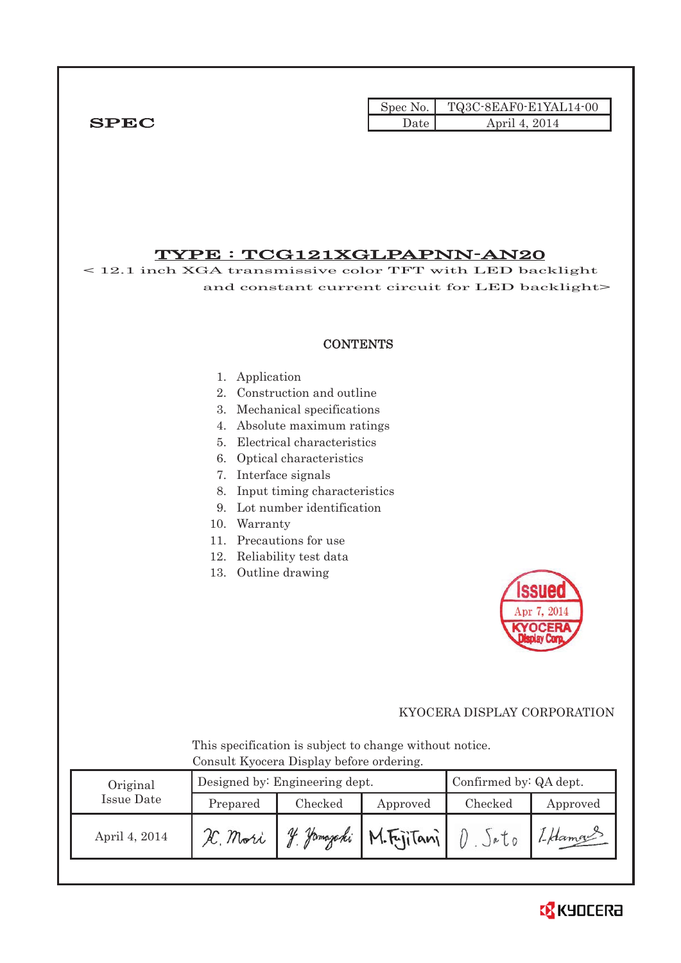|              |      | Spec No. $\vert$ TQ3C-8EAF0-E1YAL14-00 |
|--------------|------|----------------------------------------|
| ${\bf SPEC}$ | Jate | April 4, 2014                          |

# TYPE : TCG121XGLPAPNN-AN20

< 12.1 inch XGA transmissive color TFT with LED backlight and constant current circuit for LED backlight>

## **CONTENTS**

#### 1. Application

- 2. Construction and outline
- 3. Mechanical specifications
- 4. Absolute maximum ratings
- 5. Electrical characteristics
- 6. Optical characteristics
- 7. Interface signals
- 8. Input timing characteristics
- 9. Lot number identification
- 10. Warranty
- 11. Precautions for use
- 12. Reliability test data
- 13. Outline drawing



## KYOCERA DISPLAY CORPORATION

 This specification is subject to change without notice. Consult Kyocera Display before ordering.

| Original      |          | Designed by: Engineering dept. | Confirmed by: QA dept. |         |          |
|---------------|----------|--------------------------------|------------------------|---------|----------|
| Issue Date    | Prepared | Checked                        | Approved               | Checked | Approved |
| April 4, 2014 | H. Mori  | Hamazaki<br>$\eta_L$           | M.FriiTani             |         | 1-Hamou  |

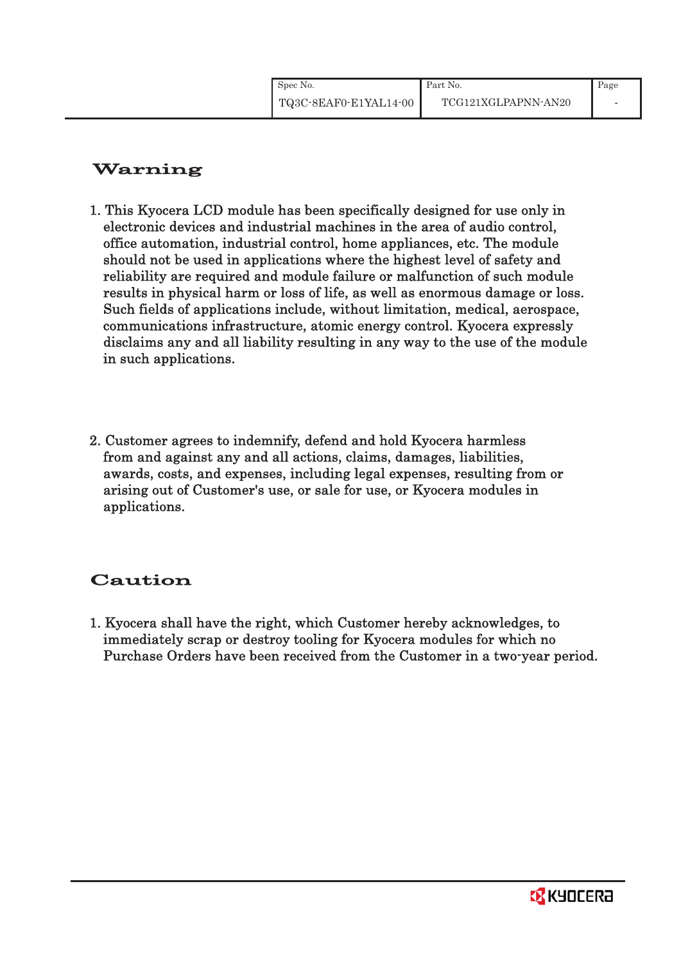| Spec No.              | Part No.            | Page |
|-----------------------|---------------------|------|
| TQ3C-8EAF0-E1YAL14-00 | TCG121XGLPAPNN-AN20 |      |

# Warning

- 1. This Kyocera LCD module has been specifically designed for use only in electronic devices and industrial machines in the area of audio control, office automation, industrial control, home appliances, etc. The module should not be used in applications where the highest level of safety and reliability are required and module failure or malfunction of such module results in physical harm or loss of life, as well as enormous damage or loss. Such fields of applications include, without limitation, medical, aerospace, communications infrastructure, atomic energy control. Kyocera expressly disclaims any and all liability resulting in any way to the use of the module in such applications.
- 2. Customer agrees to indemnify, defend and hold Kyocera harmless from and against any and all actions, claims, damages, liabilities, awards, costs, and expenses, including legal expenses, resulting from or arising out of Customer's use, or sale for use, or Kyocera modules in applications.

# Caution

1. Kyocera shall have the right, which Customer hereby acknowledges, to immediately scrap or destroy tooling for Kyocera modules for which no Purchase Orders have been received from the Customer in a two-year period.

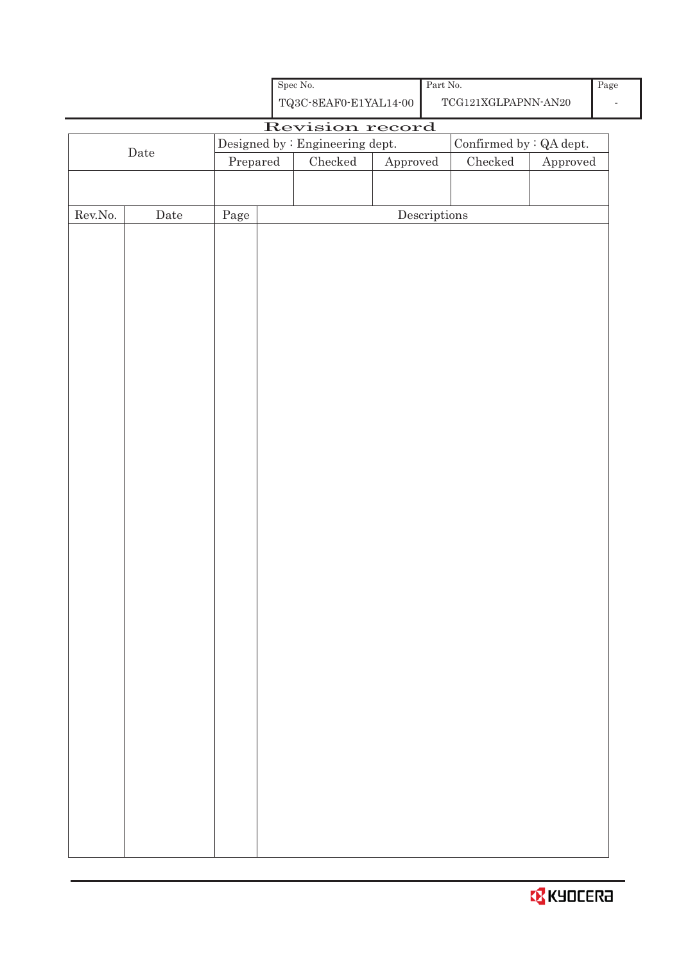| <b>B</b> KYOCERA |
|------------------|
|------------------|

|                  |             |            | ${\rm Spec}$ No.                                   |          | Part No.                             |                                      |          | Pag |                                 |  |  |  |
|------------------|-------------|------------|----------------------------------------------------|----------|--------------------------------------|--------------------------------------|----------|-----|---------------------------------|--|--|--|
|                  |             |            | ${\bf TQ3C\text{-}SEAF0\text{-}E1YAL14\text{-}00}$ |          |                                      | $\operatorname{TCG121XGLPAPNN-AN20}$ |          |     |                                 |  |  |  |
|                  |             |            | Revision record                                    |          |                                      |                                      |          |     |                                 |  |  |  |
|                  | $\rm{Date}$ |            | Confirmed by : QA dept.                            |          |                                      |                                      |          |     | Designed by : Engineering dept. |  |  |  |
|                  |             | Prepared   | ${\it Checked}$                                    | Approved |                                      | ${\it Checked}$                      | Approved |     |                                 |  |  |  |
|                  |             |            |                                                    |          |                                      |                                      |          |     |                                 |  |  |  |
| ${\rm Rev. No.}$ | Date        | $\rm Page$ |                                                    |          | $\label{eq:2} \textbf{Descriptions}$ |                                      |          |     |                                 |  |  |  |
|                  |             |            |                                                    |          |                                      |                                      |          |     |                                 |  |  |  |
|                  |             |            |                                                    |          |                                      |                                      |          |     |                                 |  |  |  |
|                  |             |            |                                                    |          |                                      |                                      |          |     |                                 |  |  |  |
|                  |             |            |                                                    |          |                                      |                                      |          |     |                                 |  |  |  |
|                  |             |            |                                                    |          |                                      |                                      |          |     |                                 |  |  |  |
|                  |             |            |                                                    |          |                                      |                                      |          |     |                                 |  |  |  |
|                  |             |            |                                                    |          |                                      |                                      |          |     |                                 |  |  |  |
|                  |             |            |                                                    |          |                                      |                                      |          |     |                                 |  |  |  |
|                  |             |            |                                                    |          |                                      |                                      |          |     |                                 |  |  |  |
|                  |             |            |                                                    |          |                                      |                                      |          |     |                                 |  |  |  |
|                  |             |            |                                                    |          |                                      |                                      |          |     |                                 |  |  |  |
|                  |             |            |                                                    |          |                                      |                                      |          |     |                                 |  |  |  |
|                  |             |            |                                                    |          |                                      |                                      |          |     |                                 |  |  |  |
|                  |             |            |                                                    |          |                                      |                                      |          |     |                                 |  |  |  |
|                  |             |            |                                                    |          |                                      |                                      |          |     |                                 |  |  |  |
|                  |             |            |                                                    |          |                                      |                                      |          |     |                                 |  |  |  |
|                  |             |            |                                                    |          |                                      |                                      |          |     |                                 |  |  |  |
|                  |             |            |                                                    |          |                                      |                                      |          |     |                                 |  |  |  |
|                  |             |            |                                                    |          |                                      |                                      |          |     |                                 |  |  |  |
|                  |             |            |                                                    |          |                                      |                                      |          |     |                                 |  |  |  |
|                  |             |            |                                                    |          |                                      |                                      |          |     |                                 |  |  |  |
|                  |             |            |                                                    |          |                                      |                                      |          |     |                                 |  |  |  |
|                  |             |            |                                                    |          |                                      |                                      |          |     |                                 |  |  |  |
|                  |             |            |                                                    |          |                                      |                                      |          |     |                                 |  |  |  |
|                  |             |            |                                                    |          |                                      |                                      |          |     |                                 |  |  |  |
|                  |             |            |                                                    |          |                                      |                                      |          |     |                                 |  |  |  |
|                  |             |            |                                                    |          |                                      |                                      |          |     |                                 |  |  |  |
|                  |             |            |                                                    |          |                                      |                                      |          |     |                                 |  |  |  |
|                  |             |            |                                                    |          |                                      |                                      |          |     |                                 |  |  |  |
|                  |             |            |                                                    |          |                                      |                                      |          |     |                                 |  |  |  |
|                  |             |            |                                                    |          |                                      |                                      |          |     |                                 |  |  |  |
|                  |             |            |                                                    |          |                                      |                                      |          |     |                                 |  |  |  |
|                  |             |            |                                                    |          |                                      |                                      |          |     |                                 |  |  |  |
|                  |             |            |                                                    |          |                                      |                                      |          |     |                                 |  |  |  |
|                  |             |            |                                                    |          |                                      |                                      |          |     |                                 |  |  |  |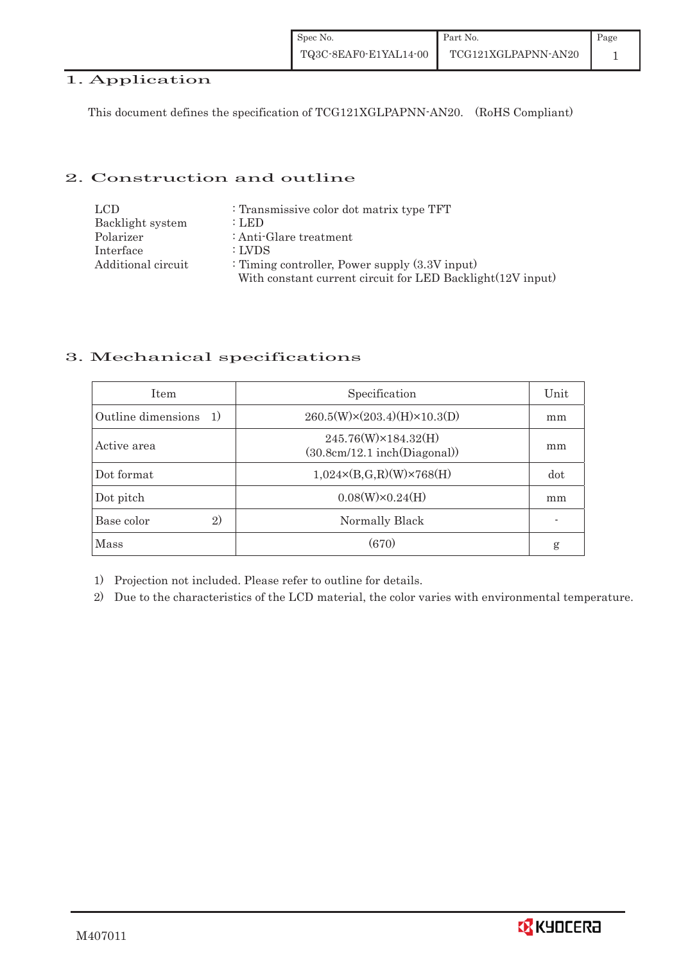| Spec No.              | Part No.            | Page |
|-----------------------|---------------------|------|
| TQ3C-8EAF0-E1YAL14-00 | TCG121XGLPAPNN-AN20 |      |

# 1. Application

This document defines the specification of TCG121XGLPAPNN-AN20. (RoHS Compliant)

### 2. Construction and outline

| LCD.               | : Transmissive color dot matrix type TFT                   |
|--------------------|------------------------------------------------------------|
| Backlight system   | : LED                                                      |
| Polarizer          | : Anti-Glare treatment                                     |
| Interface          | : LVDS                                                     |
| Additional circuit | : Timing controller, Power supply $(3.3V)$ input)          |
|                    | With constant current circuit for LED Backlight(12V input) |

## 3. Mechanical specifications

| <b>Item</b>                        | Specification                                       | Unit |
|------------------------------------|-----------------------------------------------------|------|
| Outline dimensions<br><sup>1</sup> | $260.5(W)\times(203.4)(H)\times10.3(D)$             | mm   |
| Active area                        | 245.76(W)×184.32(H)<br>(30.8cm/12.1~inch(Diagonal)) | mm   |
| Dot format                         | $1,024 \times (B,G,R)(W) \times 768(H)$             | dot  |
| Dot pitch                          | $0.08(W)\times0.24(H)$                              | mm   |
| 2)<br>Base color                   | Normally Black                                      |      |
| <b>Mass</b>                        | (670)                                               | g    |

1) Projection not included. Please refer to outline for details.

2) Due to the characteristics of the LCD material, the color varies with environmental temperature.

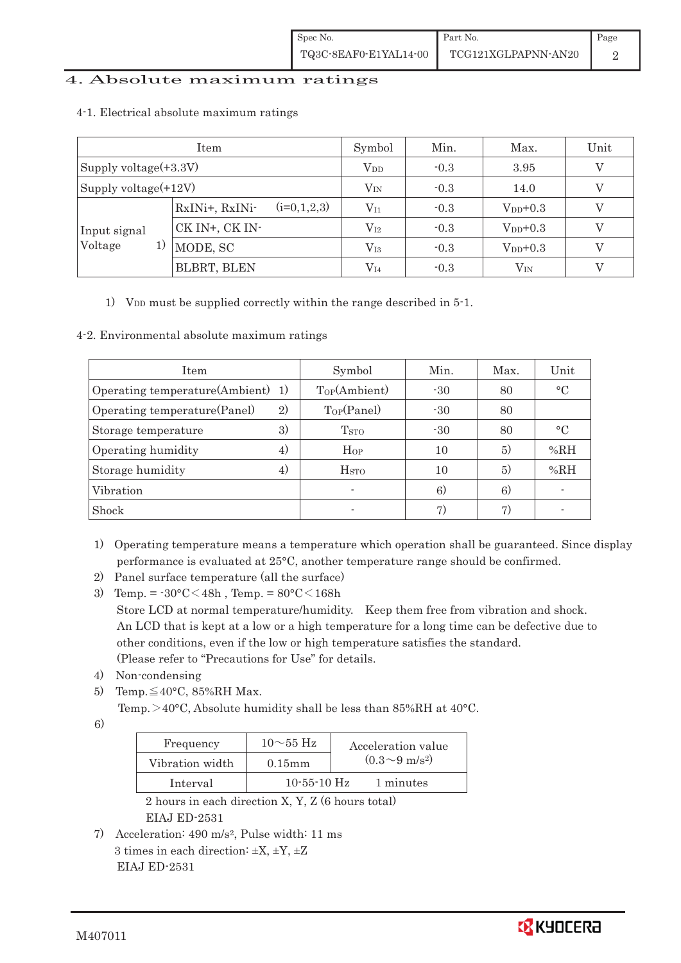### 4. Absolute maximum ratings

| Item                     |                                 | Symbol       | Min.   | Max.          | Unit |
|--------------------------|---------------------------------|--------------|--------|---------------|------|
| Supply voltage $(+3.3V)$ |                                 | $V_{DD}$     | $-0.3$ | 3.95          |      |
| Supply voltage $(+12V)$  |                                 | $V_{IN}$     | $-0.3$ | 14.0          |      |
|                          | $(i=0,1,2,3)$<br>RxINi+, RxINi- | $V_{I1}$     | $-0.3$ | $V_{DD}+0.3$  |      |
| Input signal             | CK IN+, CK IN-                  | $\rm V_{I2}$ | $-0.3$ | $V_{DD}$ +0.3 |      |
| Voltage<br>1)            | MODE, SC                        | $\rm V_{I3}$ | $-0.3$ | $V_{DD}+0.3$  |      |
|                          | BLBRT, BLEN                     | $\rm V_{I4}$ | $-0.3$ | $V_{IN}$      |      |

#### 4-1.Electrical absolute maximum ratings

1) V<sub>DD</sub> must be supplied correctly within the range described in  $5$ -1.

#### 4-2. Environmental absolute maximum ratings

| <b>Item</b>                       |    | Symbol                   | Min.  | Max. | Unit                     |
|-----------------------------------|----|--------------------------|-------|------|--------------------------|
| Operating temperature(Ambient) 1) |    | Top(Ambient)             | $-30$ | 80   | $\rm ^{\circ}C$          |
| Operating temperature (Panel)     | 2) | $T_{OP}(Panel)$          | $-30$ | 80   |                          |
| Storage temperature               | 3) | <b>T</b> <sub>STO</sub>  | $-30$ | 80   | $\circ$ C                |
| Operating humidity                | 4) | Hop                      | 10    | 5)   | %RH                      |
| Storage humidity                  | 4) | $_{\mathrm{HSTO}}$       | 10    | 5)   | %RH                      |
| Vibration                         |    | $\overline{\phantom{0}}$ | 6)    | 6)   | $\overline{\phantom{0}}$ |
| Shock                             |    | $\overline{\phantom{0}}$ | 7)    | 7)   | $\overline{\phantom{0}}$ |

- 1) Operating temperature means a temperature which operation shall be guaranteed. Since display performance is evaluated at 25°C, another temperature range should be confirmed.
- 2) Panel surface temperature (all the surface)
- 3) Temp. =  $-30^{\circ}$ C $<$ 48h, Temp. =  $80^{\circ}$ C $<$ 168h Store LCD at normal temperature/humidity. Keep them free from vibration and shock. An LCD that is kept at a low or a high temperature for a long time can be defective due to other conditions, even if the low or high temperature satisfies the standard. (Please refer to "Precautions for Use" for details.
- 4) Non-condensing
- 5) Temp.  $\leq 40^{\circ}$ C, 85%RH Max.

Temp.  $>40^{\circ}$ C. Absolute humidity shall be less than 85%RH at 40 $^{\circ}$ C.

6)

| Frequency       | $10\sim 55$ Hz | Acceleration value         |
|-----------------|----------------|----------------------------|
| Vibration width | $0.15$ m m     | $(0.3{\sim}9~{\rm m/s^2})$ |
| Interval        | $10-55-10$ Hz  | 1 minutes                  |

 2 hours in each direction X, Y, Z (6 hours total) EIAJ ED-2531

7) Acceleration: 490 m/s2, Pulse width: 11 ms 3 times in each direction:  $\pm X$ ,  $\pm Y$ ,  $\pm Z$ EIAJ ED-2531

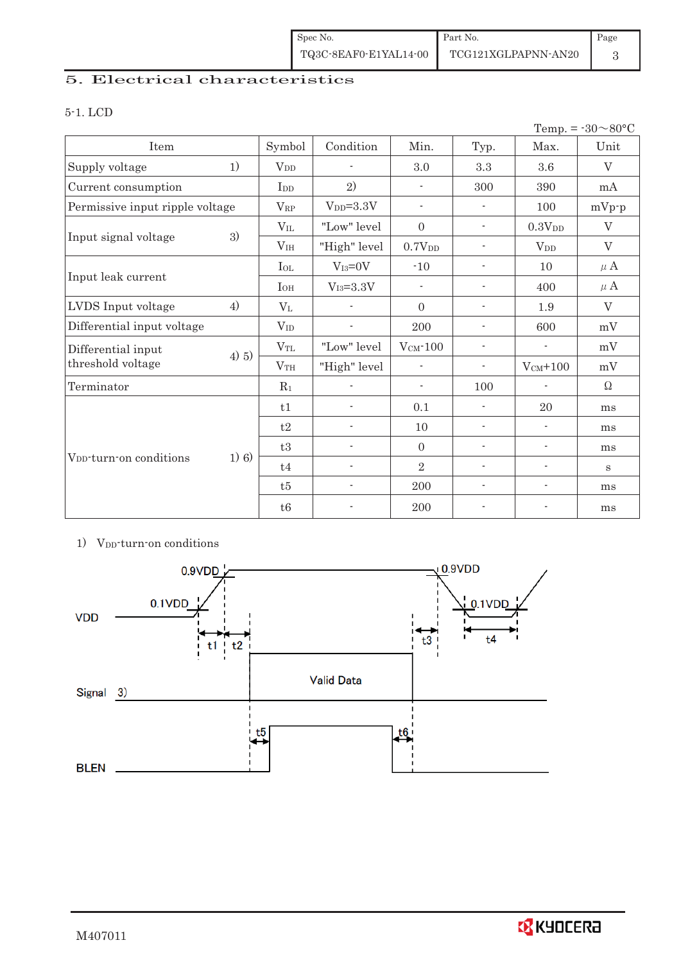| Spec No.              | Part No.            | Page |
|-----------------------|---------------------|------|
| TQ3C-8EAF0-E1YAL14-00 | TCG121XGLPAPNN-AN20 |      |

# 5. Electrical characteristics

### 5-1. LCD

|                                     |         |                 |                          |                          |                          |                          | Temp. = $-30 \sim 80$ °C |
|-------------------------------------|---------|-----------------|--------------------------|--------------------------|--------------------------|--------------------------|--------------------------|
| Item                                |         | Symbol          | Condition                | Min.                     | Typ.                     | Max.                     | Unit                     |
| Supply voltage                      | 1)      | $V_{DD}$        | $\overline{\phantom{a}}$ | 3.0                      | 3.3                      | $3.6\,$                  | $\rm V$                  |
| Current consumption                 |         | I <sub>DD</sub> | 2)                       |                          | 300                      | 390                      | mA                       |
| Permissive input ripple voltage     |         | $V_{RP}$        | $VDD=3.3V$               | $\blacksquare$           | $\overline{\phantom{a}}$ | 100                      | $mVp-p$                  |
|                                     |         | $V_{IL}$        | "Low" level              | $\boldsymbol{0}$         | $\overline{\phantom{a}}$ | $0.3{\rm V_{DD}}$        | $\mathbf{V}$             |
| Input signal voltage                | 3)      | V <sub>IH</sub> | "High" level             | 0.7V <sub>DD</sub>       | $\overline{\phantom{a}}$ | $V_{DD}$                 | $\rm V$                  |
|                                     |         | $I_{OL}$        | $V_{I3}=0V$              | $-10$                    | $\overline{\phantom{a}}$ | 10                       | $\mu$ A                  |
| Input leak current                  |         | $I_{OH}$        | $V_{I3} = 3.3V$          | $\overline{\phantom{a}}$ | $\overline{\phantom{a}}$ | 400                      | $\mu$ A                  |
| LVDS Input voltage                  | 4)      | $V_{L}$         |                          | $\Omega$                 | $\overline{\phantom{a}}$ | 1.9                      | $\rm V$                  |
| Differential input voltage          |         | $V_{ID}$        | $\overline{\phantom{a}}$ | 200                      | $\overline{\phantom{a}}$ | 600                      | mV                       |
| Differential input                  | 4) 5)   | $V_{TL}$        | "Low" level              | $V_{CM}$ -100            | $\overline{\phantom{a}}$ | $\frac{1}{2}$            | mV                       |
| threshold voltage                   |         | V <sub>TH</sub> | "High" level             | $\overline{\phantom{a}}$ | $\overline{\phantom{a}}$ | $V_{CM}$ +100            | mV                       |
| Terminator                          |         | $R_1$           |                          | $\overline{\phantom{a}}$ | 100                      | $\overline{\phantom{a}}$ | Ω                        |
|                                     |         | t1              | $\overline{\phantom{a}}$ | 0.1                      | $\overline{\phantom{a}}$ | 20                       | ms                       |
| V <sub>DD</sub> -turn-on conditions |         | t2              | $\overline{\phantom{a}}$ | 10                       | $\overline{\phantom{a}}$ | $\overline{\phantom{a}}$ | ms                       |
|                                     |         | t3              | $\overline{a}$           | $\Omega$                 | $\blacksquare$           | $\overline{\phantom{a}}$ | ms                       |
|                                     | $1)$ 6) | t4              | $\overline{\phantom{a}}$ | $\overline{2}$           | $\overline{\phantom{a}}$ | $\overline{\phantom{a}}$ | S                        |
|                                     |         | t5              | $\overline{\phantom{a}}$ | 200                      | $\overline{\phantom{a}}$ | $\overline{\phantom{a}}$ | ms                       |
|                                     |         | t6              | $\overline{\phantom{a}}$ | 200                      | $\overline{a}$           | $\overline{a}$           | ms                       |

## 1) V<sub>DD</sub>-turn-on conditions

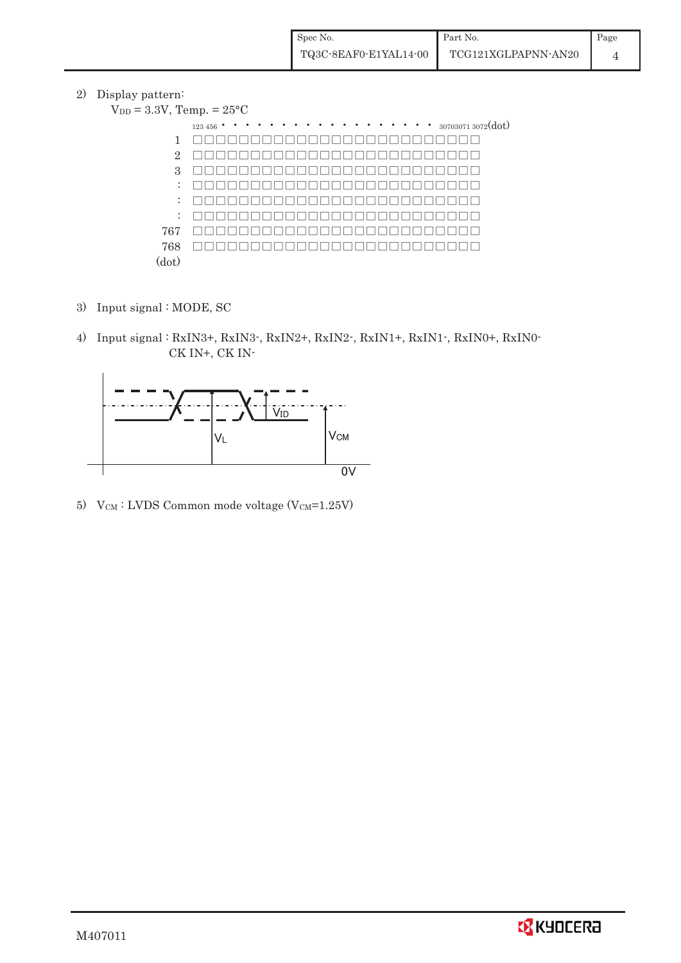2) Display pattern:

| $V_{DD} = 3.3V$ , Temp. = $25^{\circ}$ C |                                                     |  |  |  |  |  |  |  |
|------------------------------------------|-----------------------------------------------------|--|--|--|--|--|--|--|
|                                          | $\cdots$ $\cdots$ $_{307030713072}(dot)$<br>123 456 |  |  |  |  |  |  |  |
| 1                                        |                                                     |  |  |  |  |  |  |  |
| $\overline{2}$                           |                                                     |  |  |  |  |  |  |  |
| 3                                        |                                                     |  |  |  |  |  |  |  |
| $\mathbb{Z}^{\mathbb{Z}}$                |                                                     |  |  |  |  |  |  |  |
| ÷                                        |                                                     |  |  |  |  |  |  |  |
| ÷                                        |                                                     |  |  |  |  |  |  |  |
| 767                                      |                                                     |  |  |  |  |  |  |  |
| 768                                      |                                                     |  |  |  |  |  |  |  |
| (dot)                                    |                                                     |  |  |  |  |  |  |  |

- 3) Input signal : MODE, SC
- 4) Input signal : RxIN3+, RxIN3-, RxIN2+, RxIN2-, RxIN1+, RxIN1-, RxIN0+, RxIN0- CK IN+, CK IN-



5) V $_{CM}$ : LVDS Common mode voltage (V $_{CM}$ =1.25V)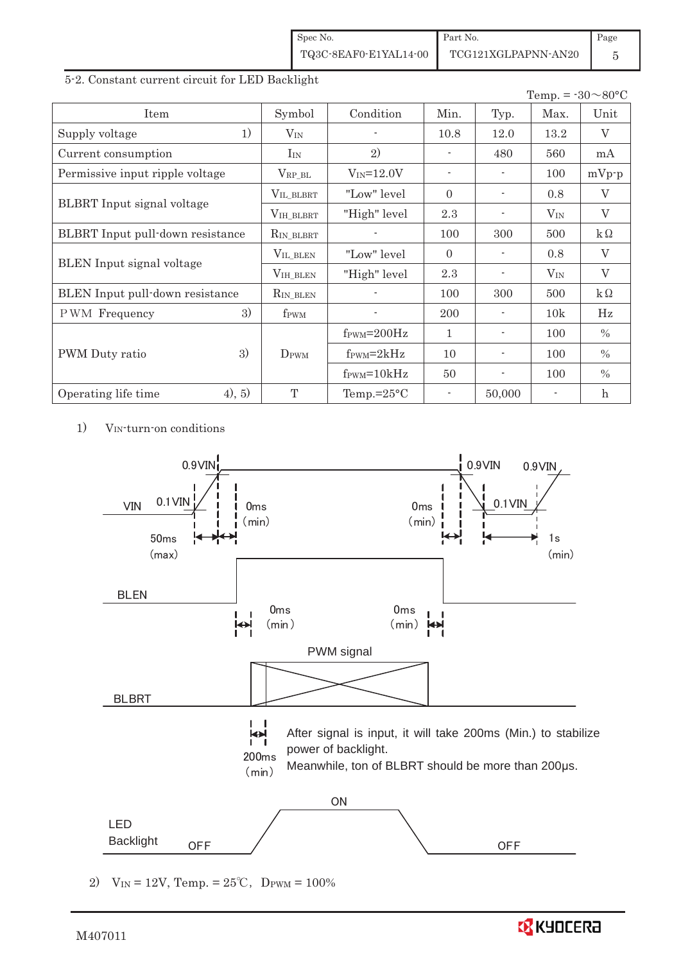| Spec No.              | Part No.            | Page |
|-----------------------|---------------------|------|
| TQ3C-8EAF0-E1YAL14-00 | TCG121XGLPAPNN-AN20 |      |

5-2. Constant current circuit for LED Backlight

|                                  |                    |                               |                          |                | Temp. = $-30 \sim 80$ °C |               |
|----------------------------------|--------------------|-------------------------------|--------------------------|----------------|--------------------------|---------------|
| Item                             | Symbol             | Condition                     | Min.                     | Typ.           | Max.                     | Unit          |
| 1)<br>Supply voltage             | $V_{IN}$           |                               | 10.8                     | 12.0           | 13.2                     | V             |
| Current consumption              | $I_{IN}$           | 2)                            |                          | 480            | 560                      | mA            |
| Permissive input ripple voltage  | $\rm V_{RP\_BL}$   | $V_{IN} = 12.0V$              | $\overline{\phantom{a}}$ |                | 100                      | $mVp-p$       |
|                                  | VIL BLBRT          | "Low" level                   | $\Omega$                 |                | 0.8                      | $\rm V$       |
| BLBRT Input signal voltage       | VIH_BLBRT          | "High" level                  | 2.3                      |                | $V_{\rm IN}$             | V             |
| BLBRT Input pull-down resistance | RIN_BLBRT          |                               | 100                      | 300            | 500                      | $k\Omega$     |
|                                  | $V_{\rm IL\_BLEN}$ | "Low" level                   | $\Omega$                 |                | 0.8                      | V             |
| <b>BLEN</b> Input signal voltage | $VIH_BLEN$         | "High" level                  | 2.3                      |                | $V_{IN}$                 | $\rm V$       |
| BLEN Input pull-down resistance  | RIN_BLEN           |                               | 100                      | 300            | 500                      | $k\Omega$     |
| 3)<br><b>PWM</b> Frequency       | f <sub>PWM</sub>   |                               | 200                      |                | 10k                      | Hz            |
|                                  |                    | $f_{\text{PWM}}=200\text{Hz}$ | 1                        |                | 100                      | $\frac{0}{0}$ |
| 3)<br>PWM Duty ratio             | $D_{\rm PWM}$      | $f_{\rm PWM} = 2kHz$          | 10                       |                | 100                      | $\%$          |
|                                  |                    | $f_{\text{PWM}} = 10kHz$      | 50                       | $\blacksquare$ | 100                      | $\%$          |
| (4), 5)<br>Operating life time   | $\mathbf{T}$       | Temp.= $25^{\circ}$ C         | $\overline{\phantom{a}}$ | 50,000         |                          | $\mathbf h$   |

1) VIN-turn-on conditions



2)  $V_{IN} = 12V$ , Temp. =  $25^{\circ}C$ , D<sub>PWM</sub> =  $100\%$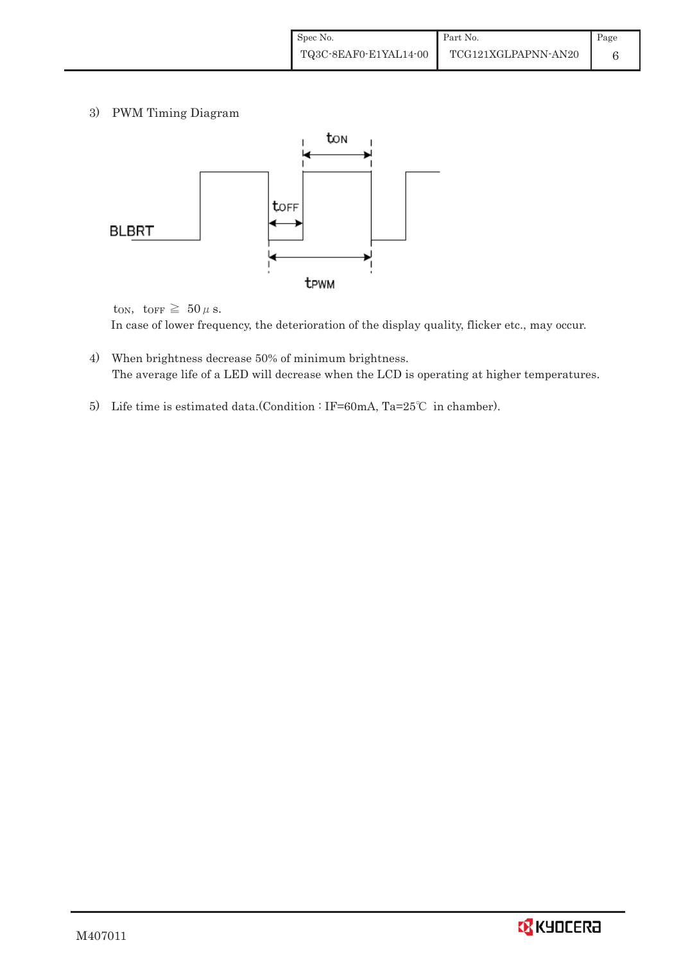3) PWM Timing Diagram



ton, to<br>FF  $\geq 50 \mu$  s. In case of lower frequency, the deterioration of the display quality, flicker etc., may occur.

- 4) When brightness decrease 50% of minimum brightness. The average life of a LED will decrease when the LCD is operating at higher temperatures.
- 5) Life time is estimated data.(Condition : IF=60mA, Ta=25°C in chamber).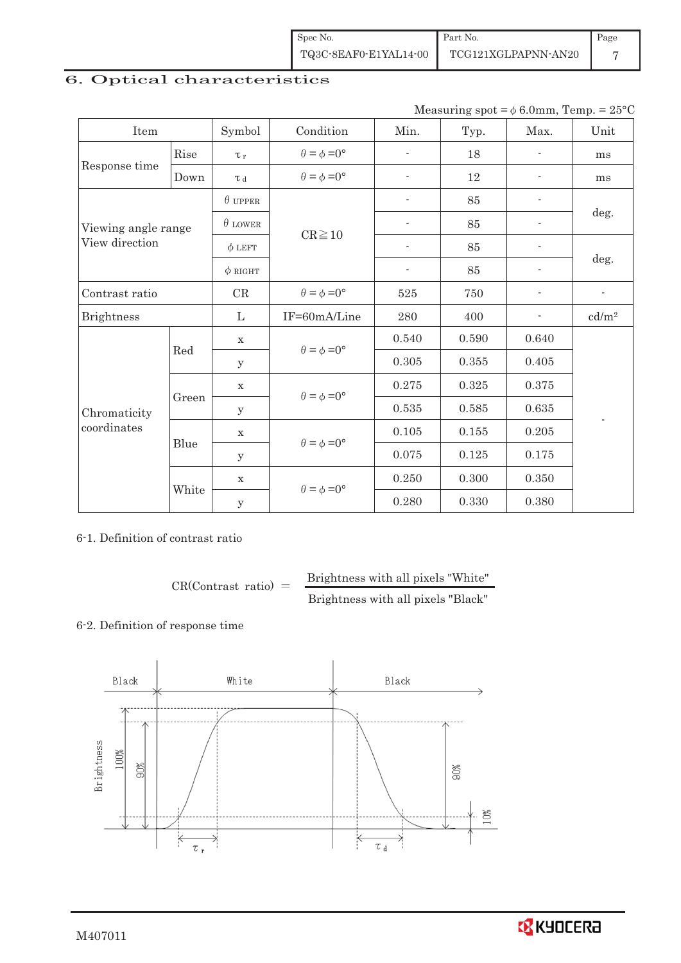| Spec No.              | Part No.            | Page |
|-----------------------|---------------------|------|
| TQ3C-8EAF0-E1YAL14-00 | TCG121XGLPAPNN-AN20 |      |

# 6. Optical characteristics

Measuring spot =  $\phi$  6.0mm, Temp. = 25°C

| Item                |       | Symbol         | Condition                   | Min.                     | Typ.  | Max.                     | Unit                     |
|---------------------|-------|----------------|-----------------------------|--------------------------|-------|--------------------------|--------------------------|
|                     | Rise  | $\tau_r$       | $\theta = \phi = 0^{\circ}$ | $\overline{\phantom{a}}$ | 18    | $\overline{\phantom{a}}$ | ms                       |
| Response time       | Down  | T d            | $\theta = \phi = 0^{\circ}$ | $\overline{a}$           | 12    |                          | ms                       |
|                     |       | $\theta$ upper |                             | $\overline{\phantom{a}}$ | 85    | $\overline{\phantom{a}}$ |                          |
| Viewing angle range |       | $\theta$ LOWER | $CR \ge 10$                 | $\overline{\phantom{a}}$ | 85    |                          | deg.                     |
| View direction      |       | $\phi$ LEFT    |                             | $\overline{\phantom{a}}$ | 85    | $\overline{\phantom{a}}$ |                          |
|                     |       | $\phi$ RIGHT   |                             | $\overline{\phantom{a}}$ | 85    | $\overline{\phantom{0}}$ | deg.                     |
| Contrast ratio      |       | $\rm CR$       | $\theta = \phi = 0^{\circ}$ | 525                      | 750   |                          | $\overline{\phantom{a}}$ |
| <b>Brightness</b>   |       | $\mathbf{L}$   | IF=60mA/Line                | $\,280$                  | 400   |                          | cd/m <sup>2</sup>        |
|                     | Red   | $\mathbf X$    | $\theta = \phi = 0^{\circ}$ | 0.540                    | 0.590 | 0.640                    |                          |
|                     |       | y              |                             | 0.305                    | 0.355 | 0.405                    |                          |
|                     | Green | $\mathbf X$    | $\theta = \phi = 0^{\circ}$ | 0.275                    | 0.325 | 0.375                    |                          |
| Chromaticity        |       | У              |                             | 0.535                    | 0.585 | 0.635                    |                          |
| coordinates         |       | $\mathbf X$    |                             | 0.105                    | 0.155 | 0.205                    |                          |
|                     | Blue  | У              | $\theta = \phi = 0^{\circ}$ | 0.075                    | 0.125 | 0.175                    |                          |
|                     |       | $\mathbf X$    | $\theta = \phi = 0^{\circ}$ | 0.250                    | 0.300 | 0.350                    |                          |
|                     | White | $\mathbf y$    |                             | 0.280                    | 0.330 | 0.380                    |                          |

6-1. Definition of contrast ratio

 $CR(Contrast ratio) =$  Brightness with all pixels "White" Brightness with all pixels "Black"

# 6-2. Definition of response time



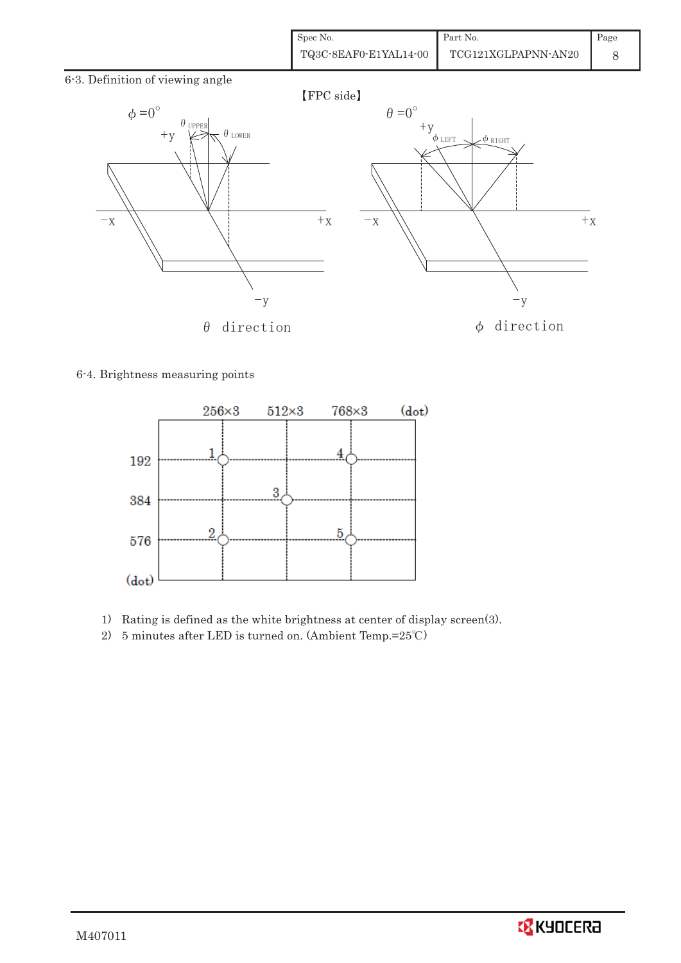| Spec No.              | Part No.            | Page |
|-----------------------|---------------------|------|
| TQ3C-8EAF0-E1YAL14-00 | TCG121XGLPAPNN-AN20 |      |

6-3. Definition of viewing angle



6-4. Brightness measuring points



- 1) Rating is defined as the white brightness at center of display screen(3).
- 2) 5 minutes after LED is turned on. (Ambient Temp.= $25^{\circ}$ C)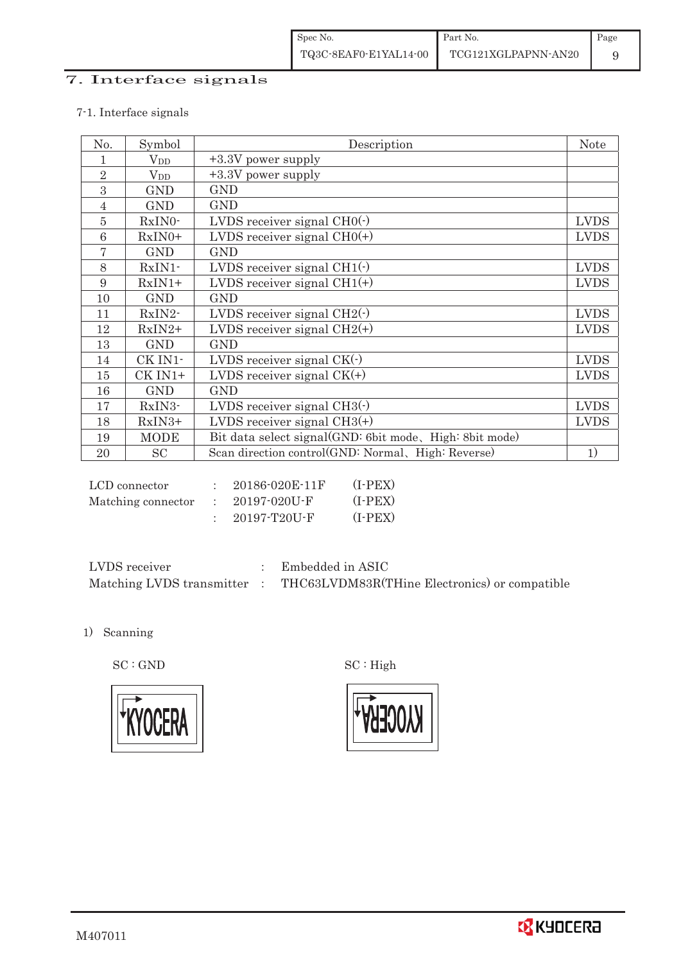# 7. Interface signals

### 7-1. Interface signals

| No.            | Symbol                 | Description                                             | <b>Note</b> |
|----------------|------------------------|---------------------------------------------------------|-------------|
| 1              | <b>V</b> <sub>DD</sub> | +3.3V power supply                                      |             |
| $\overline{2}$ | <b>V</b> <sub>DD</sub> | +3.3V power supply                                      |             |
| 3              | <b>GND</b>             | <b>GND</b>                                              |             |
| $\overline{4}$ | <b>GND</b>             | <b>GND</b>                                              |             |
| $\overline{5}$ | RxIN0-                 | LVDS receiver signal $CHO(·)$                           | <b>LVDS</b> |
| 6              | $RxIN0+$               | LVDS receiver signal $CHO(+)$                           | <b>LVDS</b> |
| 7              | <b>GND</b>             | <b>GND</b>                                              |             |
| 8              | RxIN1-                 | LVDS receiver signal CH1(-)                             | <b>LVDS</b> |
| 9              | $RxIN1+$               | LVDS receiver signal $CH1(+)$                           | <b>LVDS</b> |
| 10             | <b>GND</b>             | <b>GND</b>                                              |             |
| 11             | RxIN2-                 | LVDS receiver signal $CH2(\cdot)$                       | <b>LVDS</b> |
| 12             | $RxIN2+$               | LVDS receiver signal $CH2(+)$                           | <b>LVDS</b> |
| 13             | <b>GND</b>             | <b>GND</b>                                              |             |
| 14             | CK IN1-                | LVDS receiver signal $CK($ $)$                          | <b>LVDS</b> |
| 15             | CK IN1+                | LVDS receiver signal $CK(+)$                            | <b>LVDS</b> |
| 16             | <b>GND</b>             | <b>GND</b>                                              |             |
| 17             | RxIN3-                 | LVDS receiver signal $CH3(\cdot)$                       | <b>LVDS</b> |
| 18             | $RxIN3+$               | LVDS receiver signal $CH3(+)$                           | <b>LVDS</b> |
| 19             | <b>MODE</b>            | Bit data select signal(GND: 6bit mode, High: 8bit mode) |             |
| 20             | <b>SC</b>              | Scan direction control(GND: Normal, High: Reverse)      | 1)          |

| LCD connector      | $20186 - 020E - 11F$ | $(I-PEX)$ |
|--------------------|----------------------|-----------|
| Matching connector | $: 20197 - 020U - F$ | $(I-PEX)$ |
|                    | 20197-T20U-F         | $(I-PEX)$ |

| LVDS receiver             | Embedded in ASIC                              |
|---------------------------|-----------------------------------------------|
| Matching LVDS transmitter | THC63LVDM83R(THine Electronics) or compatible |

1) Scanning



 $\mathrm{SC}:\mathrm{GND}\qquad \qquad \mathrm{SC}:\mathrm{High}$ 

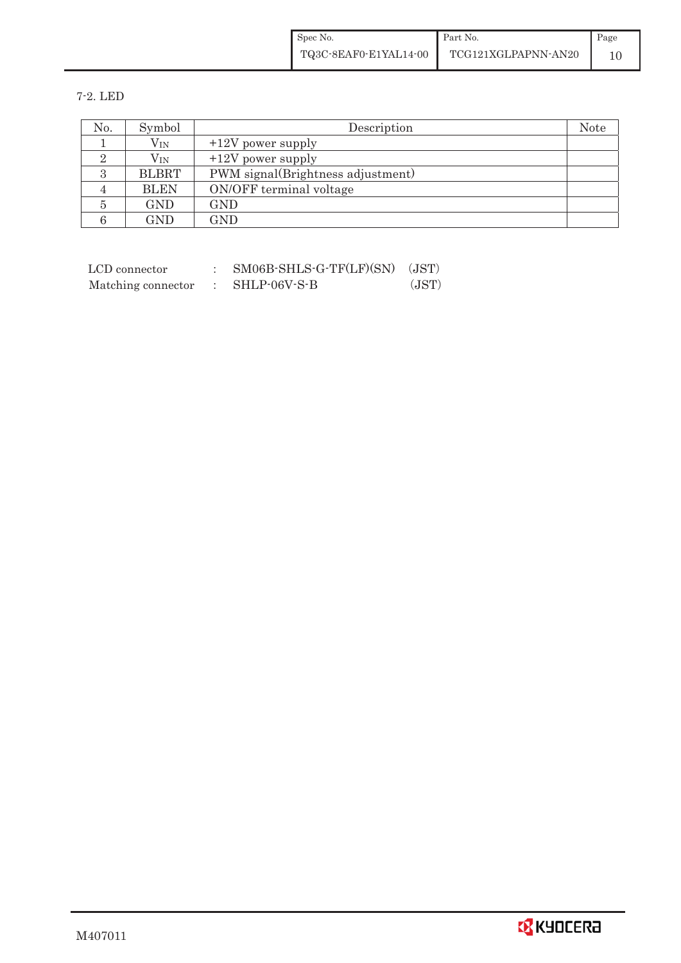| Spec No.              | Part No.            | Page |
|-----------------------|---------------------|------|
| TQ3C-8EAF0-E1YAL14-00 | TCG121XGLPAPNN-AN20 |      |

7-2. LED

| No. | Symbol       | Description                       | <b>Note</b> |
|-----|--------------|-----------------------------------|-------------|
|     | $\rm V_{IN}$ | $+12V$ power supply               |             |
|     | $\rm V_{IN}$ | $+12V$ power supply               |             |
|     | <b>BLBRT</b> | PWM signal(Brightness adjustment) |             |
|     | <b>BLEN</b>  | ON/OFF terminal voltage           |             |
|     | <b>GND</b>   | GND                               |             |
|     | <b>GND</b>   | GND                               |             |

| LCD connector      | $SM06B-SHLS-G-TF(LF)(SN)$ (JST) |       |
|--------------------|---------------------------------|-------|
| Matching connector | $\colon$ SHLP-06V-S-B           | (JST) |

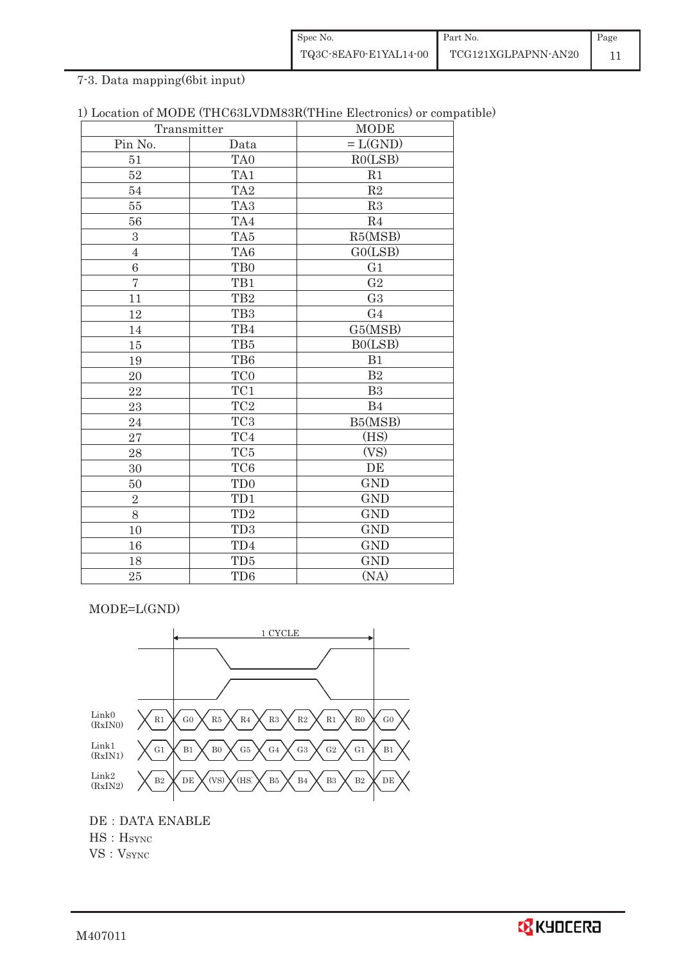| Spec No.              | Part No.            | Page |
|-----------------------|---------------------|------|
| TQ3C-8EAF0-E1YAL14-00 | TCG121XGLPAPNN-AN20 |      |

7-3. Data mapping(6bit input)

| 1) Location of MODE (THC63LVDM83R(THine Electronics) or compatible) |  |  |  |  |  |  |  |
|---------------------------------------------------------------------|--|--|--|--|--|--|--|
|---------------------------------------------------------------------|--|--|--|--|--|--|--|

| Transmitter    |                         | <b>MODE</b>    |  |  |  |  |
|----------------|-------------------------|----------------|--|--|--|--|
| Pin No.        | Data                    | $=L(GND)$      |  |  |  |  |
| 51             | TA <sub>0</sub>         | RO(LSB)        |  |  |  |  |
| 52             | TA1                     | R1             |  |  |  |  |
| 54             | TA <sub>2</sub>         | R2             |  |  |  |  |
| 55             | TA <sub>3</sub>         | R3             |  |  |  |  |
| 56             | TA4                     | R <sub>4</sub> |  |  |  |  |
| 3              | TA5                     | R5(MSB)        |  |  |  |  |
| $\overline{4}$ | TA6                     | GO(LSB)        |  |  |  |  |
| 6              | TB <sub>0</sub>         | G1             |  |  |  |  |
| $\overline{7}$ | TB1                     | G <sub>2</sub> |  |  |  |  |
| 11             | TB <sub>2</sub>         | G <sub>3</sub> |  |  |  |  |
| 12             | TB <sub>3</sub>         | G <sub>4</sub> |  |  |  |  |
| 14             | TB4                     | G5(MSB)        |  |  |  |  |
| 15             | TB5                     | BO(LSB)        |  |  |  |  |
| 19             | TB6                     | B1             |  |  |  |  |
| 20             | TC <sub>0</sub>         | B <sub>2</sub> |  |  |  |  |
| 22             | $\rm TC1$               | B <sub>3</sub> |  |  |  |  |
| 23             | $\rm TC2$               | B <sub>4</sub> |  |  |  |  |
| 24             | $\rm TC3$               | B5(MSB)        |  |  |  |  |
| 27             | $\mathrm{T}\mathrm{C}4$ | (HS)           |  |  |  |  |
| 28             | TC5                     | (VS)           |  |  |  |  |
| 30             | TC <sub>6</sub>         | DE             |  |  |  |  |
| 50             | TD <sub>0</sub>         | <b>GND</b>     |  |  |  |  |
| $\sqrt{2}$     | TD1                     | <b>GND</b>     |  |  |  |  |
| 8              | TD2                     | <b>GND</b>     |  |  |  |  |
| 10             | TD <sub>3</sub>         | <b>GND</b>     |  |  |  |  |
| 16             | TD4                     | <b>GND</b>     |  |  |  |  |
| 18             | TD5                     | <b>GND</b>     |  |  |  |  |
| 25             | TD6                     | (NA)           |  |  |  |  |

MODE=L(GND)



DE : DATA ENABLE  $HS : H<sub>SYNC</sub>$  $VS : V<sub>SYNC</sub>$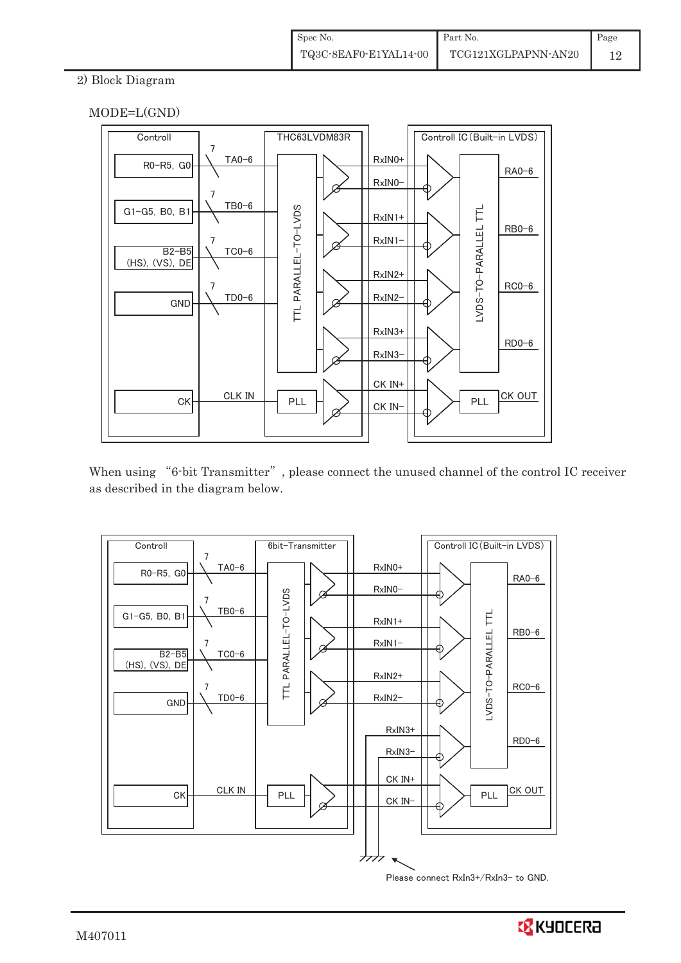## 2) Block Diagram





When using "6-bit Transmitter", please connect the unused channel of the control IC receiver as described in the diagram below.



Please connect RxIn3+/RxIn3− to GND.

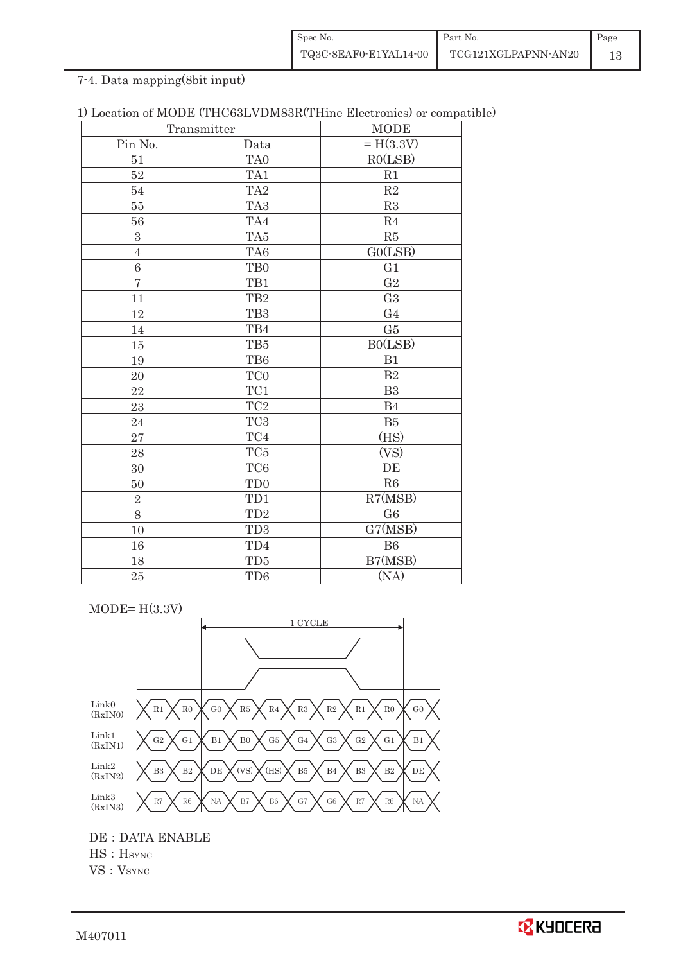| Spec No.              | Part No.            | Page |
|-----------------------|---------------------|------|
| TQ3C-8EAF0-E1YAL14-00 | TCG121XGLPAPNN-AN20 |      |

# 7-4. Data mapping(8bit input)

|                  | Transmitter     | <b>MODE</b>    |
|------------------|-----------------|----------------|
| Pin No.          | Data            | $= H(3.3V)$    |
| 51               | TA <sub>0</sub> | RO(LSB)        |
| 52               | TA1             | R1             |
| 54               | TA <sub>2</sub> | R2             |
| 55               | TA <sub>3</sub> | R3             |
| 56               | TA4             | R <sub>4</sub> |
| $\boldsymbol{3}$ | TA5             | R5             |
| $\sqrt{4}$       | TA6             | GO(LSB)        |
| $\,6\,$          | T <sub>B0</sub> | G <sub>1</sub> |
| $\overline{7}$   | TB1             | G <sub>2</sub> |
| 11               | TB <sub>2</sub> | G <sub>3</sub> |
| 12               | TB <sub>3</sub> | G <sub>4</sub> |
| 14               | TB4             | G5             |
| 15               | TB5             | BO(LSB)        |
| 19               | TB6             | B1             |
| 20               | TC <sub>0</sub> | B2             |
| 22               | TC1             | B <sub>3</sub> |
| 23               | TC <sub>2</sub> | B4             |
| 24               | TC <sub>3</sub> | B5             |
| 27               | TC4             | (HS)           |
| 28               | TC <sub>5</sub> | (VS)           |
| 30               | TC <sub>6</sub> | DE             |
| 50               | TD <sub>0</sub> | R6             |
| $\overline{2}$   | TD1             | R7(MSB)        |
| 8                | TD <sub>2</sub> | G <sub>6</sub> |
| 10               | TD <sub>3</sub> | G7(MSB)        |
| 16               | TD4             | <b>B6</b>      |
| 18               | TD <sub>5</sub> | B7(MSB)        |
| 25               | TD <sub>6</sub> | (NA)           |

|  |  |  |  | 1) Location of MODE (THC63LVDM83R(THine Electronics) or compatible) |  |  |  |
|--|--|--|--|---------------------------------------------------------------------|--|--|--|
|--|--|--|--|---------------------------------------------------------------------|--|--|--|

 $MODE= H(3.3V)$ 



DE : DATA ENABLE

 $HS : H<sub>SYNC</sub>$ 

VS: V<sub>SYNC</sub>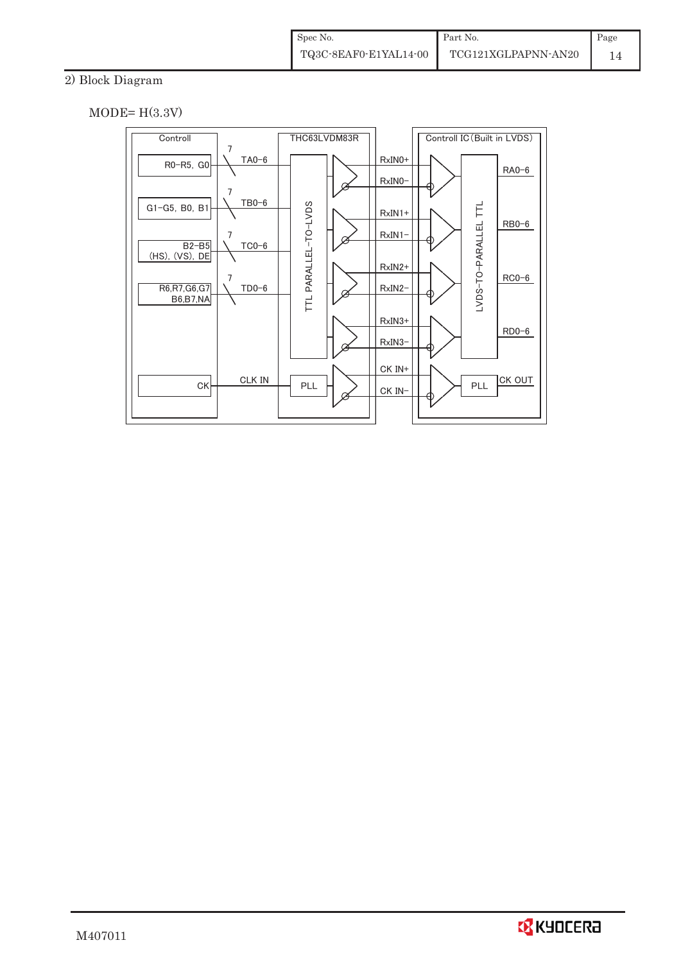# 2) Block Diagram

 $MODE= H(3.3V)$ 



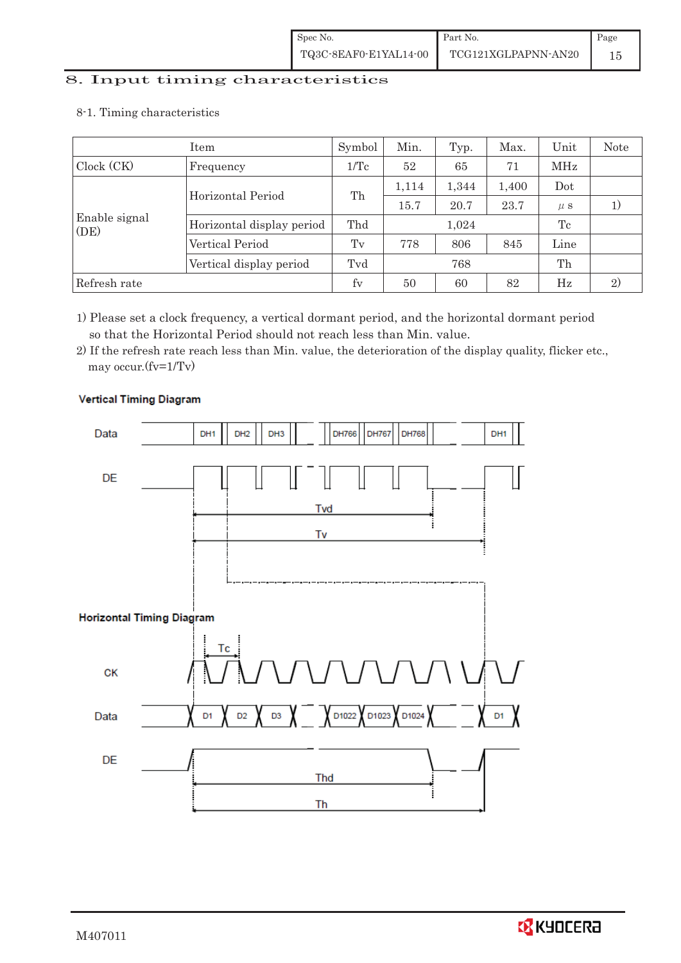# 8. Input timing characteristics  $\overline{\phantom{a}}$

8-1. Timing characteristics

|                       | Item                      | Symbol  | Min.  | Typ.  | Max.  | Unit    | Note         |
|-----------------------|---------------------------|---------|-------|-------|-------|---------|--------------|
| Clock (CK)            | Frequency                 | 1/Tc    | 52    | 65    | 71    | MHz     |              |
|                       | Horizontal Period         |         | 1,114 | 1,344 | 1,400 | Dot     |              |
|                       |                           | Th      | 15.7  | 20.7  | 23.7  | $\mu$ s |              |
| Enable signal<br>(DE) | Horizontal display period | Thd     |       | 1,024 |       | Tc      |              |
|                       | Vertical Period           | $T_{V}$ | 778   | 806   | 845   | Line    |              |
|                       | Vertical display period   | Tvd     | 768   |       |       | Th      |              |
| Refresh rate          |                           | fy      | 50    | 60    | 82    | Hz      | $\mathbf{2}$ |

1) Please set a clock frequency, a vertical dormant period, and the horizontal dormant period so that the Horizontal Period should not reach less than Min. value.

2) If the refresh rate reach less than Min. value, the deterioration of the display quality, flicker etc., may occur.(fv=1/Tv)



## **Vertical Timing Diagram**

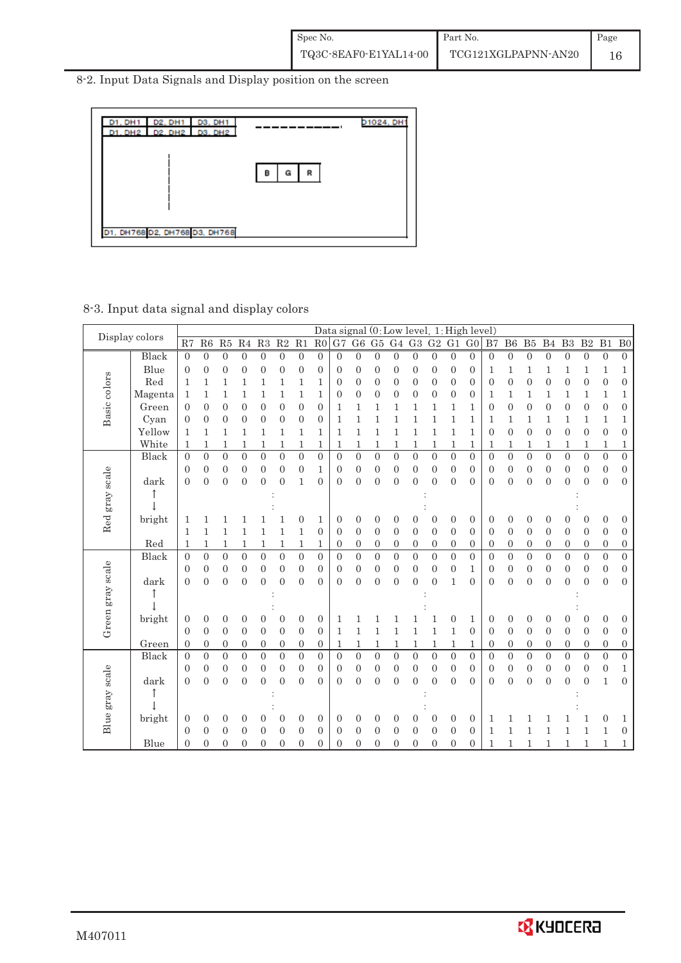8-2. Input Data Signals and Display position on the screen



## 8-3. Input data signal and display colors

|                  | Display colors |                  |                  |                  |                  |                  |                  |                  |                  |                  |                  |                  |                  | Data signal (0: Low level, 1: High level) |                  |                  |                  |                  |                  |                  |                  |                  |                  |                  |                  |
|------------------|----------------|------------------|------------------|------------------|------------------|------------------|------------------|------------------|------------------|------------------|------------------|------------------|------------------|-------------------------------------------|------------------|------------------|------------------|------------------|------------------|------------------|------------------|------------------|------------------|------------------|------------------|
|                  |                | R7               | R6               | R5               | R <sub>4</sub>   | $\mathbf{R}3$    | R <sub>2</sub>   | R1               | R <sub>0</sub>   | G7               | ${\rm G}6$       | G5               | G <sub>4</sub>   | G3                                        | ${\rm G}2$       | G1               | G <sub>0</sub>   | B7               | B6               | ${\rm B}5$       | B <sub>4</sub>   | B <sub>3</sub>   | $\mathbf{B}2$    | B1               | B <sub>0</sub>   |
|                  | Black          | $\boldsymbol{0}$ | $\boldsymbol{0}$ | $\boldsymbol{0}$ | $\boldsymbol{0}$ | $\mathbf{0}$     | $\boldsymbol{0}$ | $\overline{0}$   | $\boldsymbol{0}$ | $\overline{0}$   | $\boldsymbol{0}$ | $\boldsymbol{0}$ | $\mathbf{0}$     | $\overline{0}$                            | $\boldsymbol{0}$ | $\boldsymbol{0}$ | $\overline{0}$   | $\overline{0}$   | $\mathbf{0}$     | $\boldsymbol{0}$ | $\boldsymbol{0}$ | $\boldsymbol{0}$ | $\boldsymbol{0}$ | $\boldsymbol{0}$ | $\boldsymbol{0}$ |
|                  | Blue           | $\mathbf{0}$     | $\overline{0}$   | $\boldsymbol{0}$ | $\mathbf{0}$     | $\overline{0}$   | $\boldsymbol{0}$ | $\theta$         | $\overline{0}$   | 0                | $\overline{0}$   | 0                | $\boldsymbol{0}$ | $\mathbf{0}$                              | 0                | $\boldsymbol{0}$ | $\boldsymbol{0}$ | 1                | 1                | 1                | 1                | 1                | 1                | 1                | $\mathbf{1}$     |
| Basic colors     | Red            | 1                | 1                | 1                | 1                | 1                | $\mathbf{1}$     | 1                | 1                | 0                | $\overline{0}$   | 0                | $\mathbf{0}$     | $\mathbf{0}$                              | 0                | $\mathbf{0}$     | $\boldsymbol{0}$ | $\overline{0}$   | $\overline{0}$   | $\theta$         | $\overline{0}$   | $\mathbf{0}$     | $\mathbf{0}$     | $\overline{0}$   | $\boldsymbol{0}$ |
|                  | Magenta        | 1                | 1                | 1                | 1                | 1                | $\mathbf{1}$     | 1                | 1                | $\boldsymbol{0}$ | $\overline{0}$   | 0                | $\boldsymbol{0}$ | $\boldsymbol{0}$                          | $\boldsymbol{0}$ | $\boldsymbol{0}$ | 0                | 1                | 1                | 1                | 1                | 1                | 1                | 1                | $\,1$            |
|                  | Green          | $\mathbf{0}$     | $\theta$         | $\boldsymbol{0}$ | $\mathbf{0}$     | $\mathbf{0}$     | $\overline{0}$   | $\mathbf{0}$     | $\mathbf{0}$     | 1                | 1                | 1                | 1                | 1                                         | 1                | 1                | 1                | $\overline{0}$   | $\overline{0}$   | $\mathbf{0}$     | $\overline{0}$   | $\mathbf{0}$     | $\mathbf{0}$     | $\overline{0}$   | $\boldsymbol{0}$ |
|                  | Cyan           | $\boldsymbol{0}$ | $\mathbf{0}$     | 0                | $\mathbf{0}$     | $\boldsymbol{0}$ | $\boldsymbol{0}$ | $\mathbf{0}$     | $\boldsymbol{0}$ | 1                | 1                | 1                | 1                | $\mathbf{1}$                              | 1                | 1                | 1                | 1                | 1                | 1                | 1                | 1                | 1                | 1                | $\,1$            |
|                  | Yellow         | 1                | 1                | 1                | 1                | 1                | 1                | 1                | 1                | 1                | 1                | 1                | 1                | 1                                         | 1                | 1                | 1                | $\theta$         | $\overline{0}$   | $\overline{0}$   | $\overline{0}$   | $\overline{0}$   | $\overline{0}$   | $\overline{0}$   | $\boldsymbol{0}$ |
|                  | White          | 1                | 1                | 1                | 1                | 1                | 1                | 1                | 1                | 1                | 1                | 1                | 1                | 1                                         | 1                | 1                | 1                | 1                | 1                | 1                | 1                | 1                | 1                | 1                | $\mathbf 1$      |
|                  | Black          | $\overline{0}$   | $\boldsymbol{0}$ | $\overline{0}$   | $\overline{0}$   | $\overline{0}$   | $\overline{0}$   | $\overline{0}$   | $\overline{0}$   | $\overline{0}$   | $\overline{0}$   | $\overline{0}$   | $\overline{0}$   | $\boldsymbol{0}$                          | $\overline{0}$   | $\overline{0}$   | $\boldsymbol{0}$ | $\overline{0}$   | $\boldsymbol{0}$ | $\overline{0}$   | $\overline{0}$   | $\overline{0}$   | $\overline{0}$   | $\overline{0}$   | $\boldsymbol{0}$ |
|                  |                | $\boldsymbol{0}$ | $\mathbf{0}$     | $\boldsymbol{0}$ | $\boldsymbol{0}$ | $\boldsymbol{0}$ | $\mathbf{0}$     | $\boldsymbol{0}$ | 1                | $\boldsymbol{0}$ | $\mathbf{0}$     | $\boldsymbol{0}$ | $\boldsymbol{0}$ | $\overline{0}$                            | $\boldsymbol{0}$ | $\boldsymbol{0}$ | $\boldsymbol{0}$ | $\boldsymbol{0}$ | $\boldsymbol{0}$ | $\boldsymbol{0}$ | $\overline{0}$   | $\boldsymbol{0}$ | $\boldsymbol{0}$ | $\boldsymbol{0}$ | $\boldsymbol{0}$ |
|                  | dark           | $\overline{0}$   | $\overline{0}$   | $\overline{0}$   | $\overline{0}$   | $\overline{0}$   | $\overline{0}$   | $\mathbf{1}$     | $\theta$         | $\theta$         | $\overline{0}$   | $\mathbf{0}$     | $\mathbf{0}$     | $\Omega$                                  | $\overline{0}$   | $\overline{0}$   | $\theta$         | $\overline{0}$   | $\overline{0}$   | $\overline{0}$   | $\overline{0}$   | $\overline{0}$   | $\overline{0}$   | $\overline{0}$   | $\boldsymbol{0}$ |
| Red gray scale   |                |                  |                  |                  |                  |                  |                  |                  |                  |                  |                  |                  |                  |                                           |                  |                  |                  |                  |                  |                  |                  |                  |                  |                  |                  |
|                  |                |                  |                  |                  |                  |                  |                  |                  |                  |                  |                  |                  |                  |                                           |                  |                  |                  |                  |                  |                  |                  |                  |                  |                  |                  |
|                  | bright         | 1                |                  |                  |                  |                  |                  | $\boldsymbol{0}$ | 1                | 0                | $\boldsymbol{0}$ | 0                | 0                | $\overline{0}$                            | $\overline{0}$   | 0                | $\boldsymbol{0}$ | $\overline{0}$   | $\boldsymbol{0}$ | $\overline{0}$   | 0                | 0                | $\overline{0}$   | 0                | $\boldsymbol{0}$ |
|                  |                | $\mathbf 1$      | 1                | 1                | 1                | 1                | $\mathbf{1}$     | $\mathbf{1}$     | $\overline{0}$   | $\boldsymbol{0}$ | $\mathbf{0}$     | $\boldsymbol{0}$ | $\boldsymbol{0}$ | $\mathbf{0}$                              | $\boldsymbol{0}$ | $\mathbf{0}$     | $\boldsymbol{0}$ | $\mathbf{0}$     | $\mathbf{0}$     | $\theta$         | $\boldsymbol{0}$ | $\boldsymbol{0}$ | $\boldsymbol{0}$ | $\boldsymbol{0}$ | $\boldsymbol{0}$ |
|                  | Red            | 1                | 1                | 1                | 1                | 1                | 1                | $\mathbf 1$      | 1                | $\boldsymbol{0}$ | $\mathbf{0}$     | $\boldsymbol{0}$ | $\boldsymbol{0}$ | $\mathbf{0}$                              | $\overline{0}$   | $\boldsymbol{0}$ | $\boldsymbol{0}$ | $\mathbf{0}$     | $\mathbf{0}$     | $\boldsymbol{0}$ | $\boldsymbol{0}$ | $\boldsymbol{0}$ | $\boldsymbol{0}$ | $\boldsymbol{0}$ | $\boldsymbol{0}$ |
|                  | Black          | $\overline{0}$   | $\overline{0}$   | $\overline{0}$   | $\overline{0}$   | $\overline{0}$   | $\overline{0}$   | $\overline{0}$   | $\overline{0}$   | $\overline{0}$   | $\overline{0}$   | $\overline{0}$   | $\overline{0}$   | $\overline{0}$                            | $\overline{0}$   | $\overline{0}$   | $\overline{0}$   | $\overline{0}$   | $\overline{0}$   | $\overline{0}$   | $\overline{0}$   | $\overline{0}$   | $\overline{0}$   | $\overline{0}$   | $\boldsymbol{0}$ |
|                  |                | $\boldsymbol{0}$ | $\boldsymbol{0}$ | $\boldsymbol{0}$ | $\mathbf{0}$     | $\boldsymbol{0}$ | $\boldsymbol{0}$ | $\boldsymbol{0}$ | $\overline{0}$   | $\boldsymbol{0}$ | $\mathbf{0}$     | $\boldsymbol{0}$ | $\boldsymbol{0}$ | $\boldsymbol{0}$                          | $\boldsymbol{0}$ | $\boldsymbol{0}$ | 1                | $\mathbf{0}$     | $\boldsymbol{0}$ | $\boldsymbol{0}$ | $\mathbf{0}$     | $\mathbf{0}$     | $\boldsymbol{0}$ | $\boldsymbol{0}$ | $\boldsymbol{0}$ |
|                  | dark           | $\overline{0}$   | $\theta$         | $\overline{0}$   | $\overline{0}$   | $\theta$         | $\overline{0}$   | $\theta$         | $\theta$         | $\theta$         | $\theta$         | $\overline{0}$   | $\overline{0}$   | $\theta$                                  | $\Omega$         | 1                | $\theta$         | $\theta$         | $\overline{0}$   | $\overline{0}$   | $\theta$         | $\overline{0}$   | $\theta$         | $\overline{0}$   | $\boldsymbol{0}$ |
|                  |                |                  |                  |                  |                  |                  |                  |                  |                  |                  |                  |                  |                  |                                           |                  |                  |                  |                  |                  |                  |                  |                  |                  |                  |                  |
| Green gray scale |                |                  |                  |                  |                  |                  |                  |                  |                  |                  |                  |                  |                  |                                           |                  |                  |                  |                  |                  |                  |                  |                  |                  |                  |                  |
|                  | bright         | $\boldsymbol{0}$ | $\mathbf{0}$     | $\boldsymbol{0}$ | $\boldsymbol{0}$ | 0                | $\boldsymbol{0}$ | $\mathbf{0}$     | $\theta$         | 1                | 1                | 1                |                  |                                           |                  | $\overline{0}$   | 1                | $\overline{0}$   | 0                | $\boldsymbol{0}$ | $\overline{0}$   | 0                | 0                | 0                | $\boldsymbol{0}$ |
|                  |                | $\mathbf{0}$     | $\boldsymbol{0}$ | $\boldsymbol{0}$ | $\mathbf{0}$     | $\theta$         | $\mathbf{0}$     | $\mathbf{0}$     | $\theta$         | 1                | 1                | 1                | 1                | 1                                         | 1                | $\mathbf{1}$     | $\mathbf{0}$     | $\mathbf{0}$     | $\overline{0}$   | $\mathbf{0}$     | $\boldsymbol{0}$ | $\mathbf{0}$     | $\theta$         | $\overline{0}$   | $\boldsymbol{0}$ |
|                  | Green          | $\boldsymbol{0}$ | $\boldsymbol{0}$ | $\boldsymbol{0}$ | $\mathbf{0}$     | $\boldsymbol{0}$ | $\boldsymbol{0}$ | $\boldsymbol{0}$ | $\boldsymbol{0}$ | 1                | 1                | 1                | 1                | 1                                         | 1                | 1                | 1                | $\boldsymbol{0}$ | $\boldsymbol{0}$ | $\boldsymbol{0}$ | $\boldsymbol{0}$ | $\mathbf{0}$     | $\boldsymbol{0}$ | $\boldsymbol{0}$ | $\boldsymbol{0}$ |
|                  | Black          | $\overline{0}$   | $\theta$         | $\overline{0}$   | $\overline{0}$   | $\overline{0}$   | $\overline{0}$   | $\overline{0}$   | $\overline{0}$   | $\theta$         | $\overline{0}$   | $\overline{0}$   | $\overline{0}$   | $\overline{0}$                            | $\theta$         | $\overline{0}$   | $\overline{0}$   | $\Omega$         | $\overline{0}$   | $\overline{0}$   | $\overline{0}$   | $\overline{0}$   | $\overline{0}$   | $\overline{0}$   | $\overline{0}$   |
|                  |                | $\boldsymbol{0}$ | $\overline{0}$   | $\boldsymbol{0}$ | $\mathbf{0}$     | $\theta$         | $\mathbf{0}$     | $\overline{0}$   | $\overline{0}$   | 0                | $\overline{0}$   | $\boldsymbol{0}$ | $\mathbf{0}$     | $\mathbf{0}$                              | $\boldsymbol{0}$ | $\mathbf{0}$     | $\mathbf{0}$     | $\boldsymbol{0}$ | $\mathbf{0}$     | $\theta$         | 0                | $\mathbf{0}$     | $\boldsymbol{0}$ | $\boldsymbol{0}$ | $\mathbf 1$      |
|                  | dark           | $\overline{0}$   | $\overline{0}$   | $\overline{0}$   | $\overline{0}$   | $\overline{0}$   | $\overline{0}$   | $\overline{0}$   | $\Omega$         | $\theta$         | $\overline{0}$   | $\overline{0}$   | $\overline{0}$   | $\overline{0}$                            | $\overline{0}$   | $\overline{0}$   | $\overline{0}$   | $\overline{0}$   | $\overline{0}$   | $\overline{0}$   | $\overline{0}$   | $\overline{0}$   | $\overline{0}$   | $\mathbf{1}$     | $\boldsymbol{0}$ |
|                  |                |                  |                  |                  |                  |                  |                  |                  |                  |                  |                  |                  |                  |                                           |                  |                  |                  |                  |                  |                  |                  |                  |                  |                  |                  |
|                  |                |                  |                  |                  |                  |                  |                  |                  |                  |                  |                  |                  |                  |                                           |                  |                  |                  |                  |                  |                  |                  |                  |                  |                  |                  |
| Blue gray scale  | bright         | $\boldsymbol{0}$ | $\mathbf{0}$     | $\boldsymbol{0}$ | $\mathbf{0}$     | 0                | $\boldsymbol{0}$ | $\mathbf{0}$     | $\overline{0}$   | $\boldsymbol{0}$ | $\mathbf{0}$     | 0                | 0                | $\boldsymbol{0}$                          | 0                | $\boldsymbol{0}$ | $\boldsymbol{0}$ | 1                | 1                |                  |                  |                  |                  | $\boldsymbol{0}$ | 1                |
|                  |                | $\overline{0}$   | $\overline{0}$   | 0                | $\theta$         | 0                | $\overline{0}$   | $\theta$         | $\overline{0}$   | $\overline{0}$   | $\overline{0}$   | $\overline{0}$   | 0                | $\theta$                                  | $\overline{0}$   | $\overline{0}$   | $\overline{0}$   | 1                | 1                | 1                |                  |                  | 1                | 1                | $\theta$         |
|                  | Blue           | $\overline{0}$   | $\overline{0}$   | $\overline{0}$   | $\overline{0}$   | $\overline{0}$   | $\overline{0}$   | $\overline{0}$   | $\overline{0}$   | $\overline{0}$   | $\overline{0}$   | $\overline{0}$   | $\mathbf{0}$     | $\overline{0}$                            | 0                | $\overline{0}$   | $\overline{0}$   | 1                | $\mathbf{1}$     | 1                | 1                | 1                | 1                | $\mathbf{1}$     | $\mathbf{1}$     |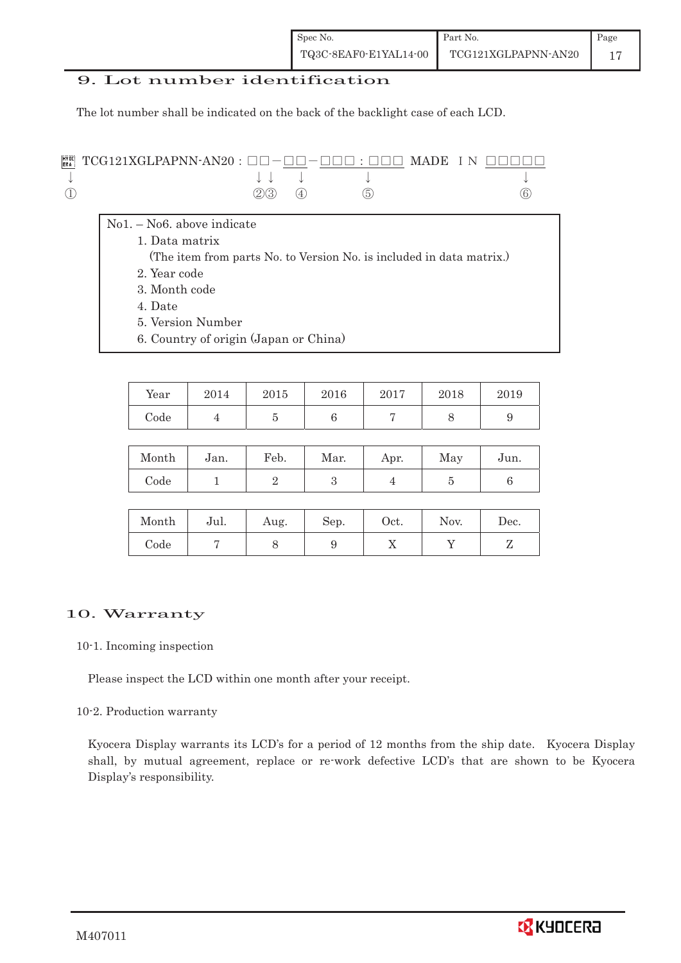## 9. Lot number identification

The lot number shall be indicated on the back of the backlight case of each LCD.

| $\mathbb{R}^n$ ; TCG121XGLPAPNN-AN20 : $\square \square - \square \square - \square \square$ : $\square \square \square$ MADE IN $\square \square \square \square$ |                |                                        |     |
|--------------------------------------------------------------------------------------------------------------------------------------------------------------------|----------------|----------------------------------------|-----|
|                                                                                                                                                                    |                | $\downarrow$ $\downarrow$ $\downarrow$ |     |
|                                                                                                                                                                    | $(2)(3)$ $(4)$ | (5)                                    | (6) |

- No1. No6. above indicate
	- 1. Data matrix
	- (The item from parts No. to Version No. is included in data matrix.)
	- 2. Year code
	- 3. Month code
	- 4. Date

<u> 1989 - Jan Samuel Barbara, martin d</u>

- 5. Version Number
- 6. Country of origin (Japan or China)

| Year | 2014 | 2015 | 2016 | 2017 | 2018 | 2019 |
|------|------|------|------|------|------|------|
| Code |      |      |      |      |      |      |

| Month | Jan. | Feb. | Mar. | Apr. | May | Jun. |
|-------|------|------|------|------|-----|------|
| Code  |      |      |      |      |     |      |

| Month | Jul. | Aug. | Sep. | Oct. | Nov. | Dec. |
|-------|------|------|------|------|------|------|
| Code  |      |      |      | ∡⊾   |      |      |

## 10. Warranty

#### 10-1. Incoming inspection

Please inspect the LCD within one month after your receipt.

#### 10-2. Production warranty

 Kyocera Display warrants its LCD's for a period of 12 months from the ship date. Kyocera Display shall, by mutual agreement, replace or re-work defective LCD's that are shown to be Kyocera Display's responsibility.

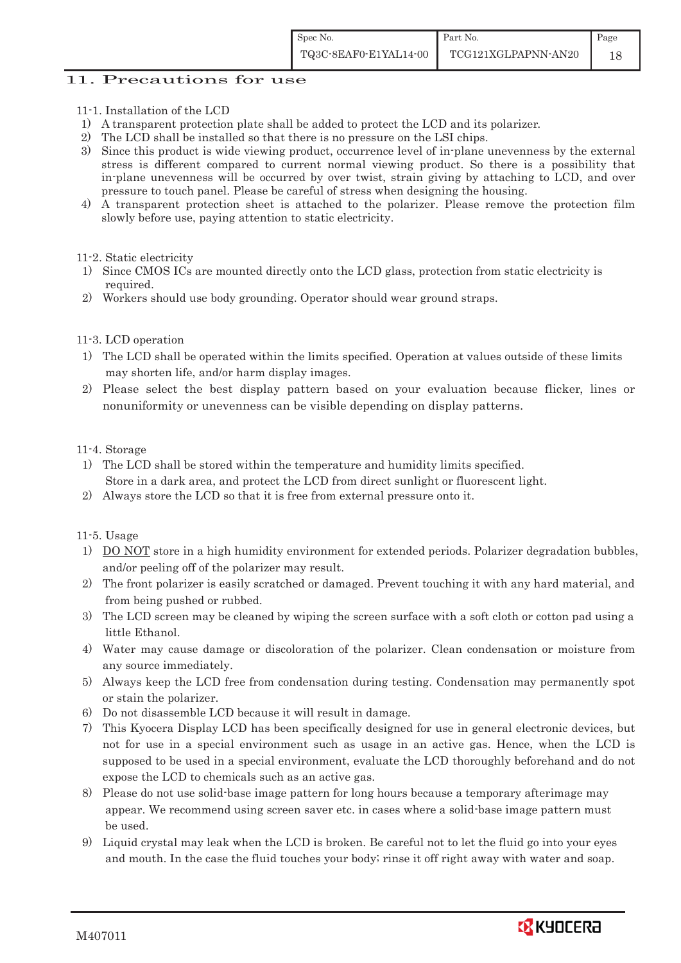## 11. Precautions for use

- 11-1. Installation of the LCD
- 1) A transparent protection plate shall be added to protect the LCD and its polarizer.
- 2) The LCD shall be installed so that there is no pressure on the LSI chips.
- 3) Since this product is wide viewing product, occurrence level of in-plane unevenness by the external stress is different compared to current normal viewing product. So there is a possibility that in-plane unevenness will be occurred by over twist, strain giving by attaching to LCD, and over pressure to touch panel. Please be careful of stress when designing the housing.
- 4) A transparent protection sheet is attached to the polarizer. Please remove the protection film slowly before use, paying attention to static electricity.
- 11-2. Static electricity
- 1) Since CMOS ICs are mounted directly onto the LCD glass, protection from static electricity is required.
- 2) Workers should use body grounding. Operator should wear ground straps.

#### 11-3. LCD operation

- 1) The LCD shall be operated within the limits specified. Operation at values outside of these limits may shorten life, and/or harm display images.
- 2) Please select the best display pattern based on your evaluation because flicker, lines or nonuniformity or unevenness can be visible depending on display patterns.

#### 11-4. Storage

- 1) The LCD shall be stored within the temperature and humidity limits specified. Store in a dark area, and protect the LCD from direct sunlight or fluorescent light.
- 2) Always store the LCD so that it is free from external pressure onto it.

#### 11-5. Usage

- 1) DO NOT store in a high humidity environment for extended periods. Polarizer degradation bubbles, and/or peeling off of the polarizer may result.
- 2) The front polarizer is easily scratched or damaged. Prevent touching it with any hard material, and from being pushed or rubbed.
- 3) The LCD screen may be cleaned by wiping the screen surface with a soft cloth or cotton pad using a little Ethanol.
- 4) Water may cause damage or discoloration of the polarizer. Clean condensation or moisture from any source immediately.
- 5) Always keep the LCD free from condensation during testing. Condensation may permanently spot or stain the polarizer.
- 6) Do not disassemble LCD because it will result in damage.
- 7) This Kyocera Display LCD has been specifically designed for use in general electronic devices, but not for use in a special environment such as usage in an active gas. Hence, when the LCD is supposed to be used in a special environment, evaluate the LCD thoroughly beforehand and do not expose the LCD to chemicals such as an active gas.
- 8) Please do not use solid-base image pattern for long hours because a temporary afterimage may appear. We recommend using screen saver etc. in cases where a solid-base image pattern must be used.
- 9) Liquid crystal may leak when the LCD is broken. Be careful not to let the fluid go into your eyes and mouth. In the case the fluid touches your body; rinse it off right away with water and soap.

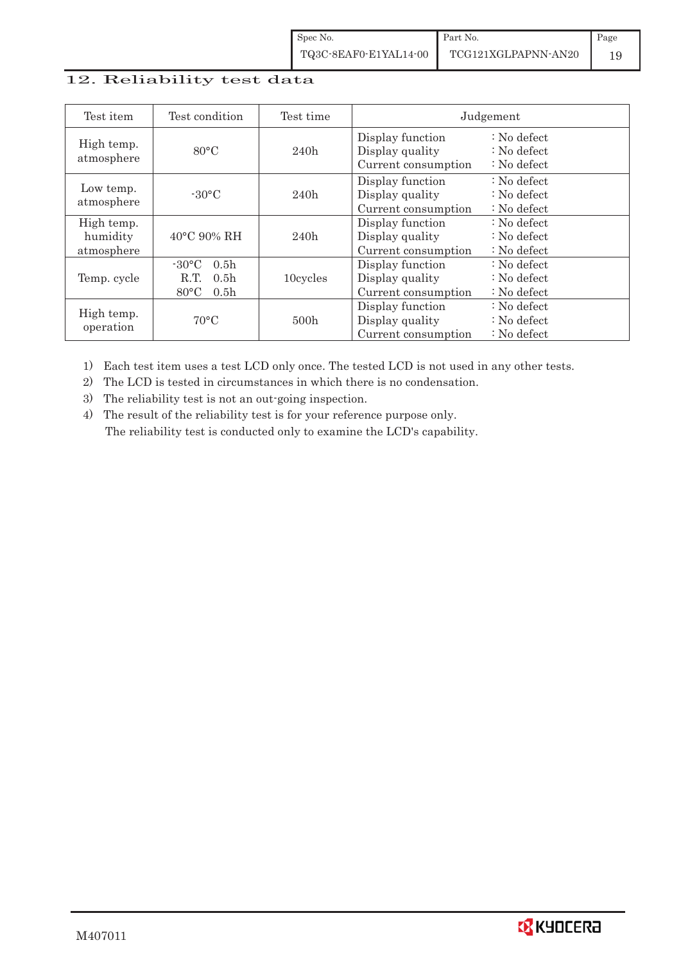# 12. Reliability test data

| Test item                            | Test condition                                                                                        | Test time | Judgement                                                  |                                                                            |  |
|--------------------------------------|-------------------------------------------------------------------------------------------------------|-----------|------------------------------------------------------------|----------------------------------------------------------------------------|--|
| High temp.<br>atmosphere             | $80^{\circ}$ C                                                                                        | 240h      | Display function<br>Display quality<br>Current consumption | $\therefore$ No defect<br>$\therefore$ No defect<br>$\therefore$ No defect |  |
| Low temp.<br>atmosphere              | $-30^{\circ}$ C                                                                                       | 240h      | Display function<br>Display quality<br>Current consumption | $\therefore$ No defect<br>$\therefore$ No defect<br>$\therefore$ No defect |  |
| High temp.<br>humidity<br>atmosphere | 40°C 90% RH                                                                                           | 240h      | Display function<br>Display quality<br>Current consumption | : No defect<br>$\therefore$ No defect<br>$\therefore$ No defect            |  |
| Temp. cycle                          | $-30^{\circ}$ C<br>0.5 <sub>h</sub><br>0.5 <sub>h</sub><br>R.T.<br>$80^{\circ}$ C<br>0.5 <sub>h</sub> | 10cycles  | Display function<br>Display quality<br>Current consumption | $\therefore$ No defect<br>$\therefore$ No defect<br>$\therefore$ No defect |  |
| High temp.<br>operation              | $70^{\circ}$ C                                                                                        | 500h      | Display function<br>Display quality<br>Current consumption | $\therefore$ No defect<br>$\therefore$ No defect<br>$\therefore$ No defect |  |

1) Each test item uses a test LCD only once. The tested LCD is not used in any other tests.

2) The LCD is tested in circumstances in which there is no condensation.

3) The reliability test is not an out-going inspection.

4) The result of the reliability test is for your reference purpose only. The reliability test is conducted only to examine the LCD's capability.

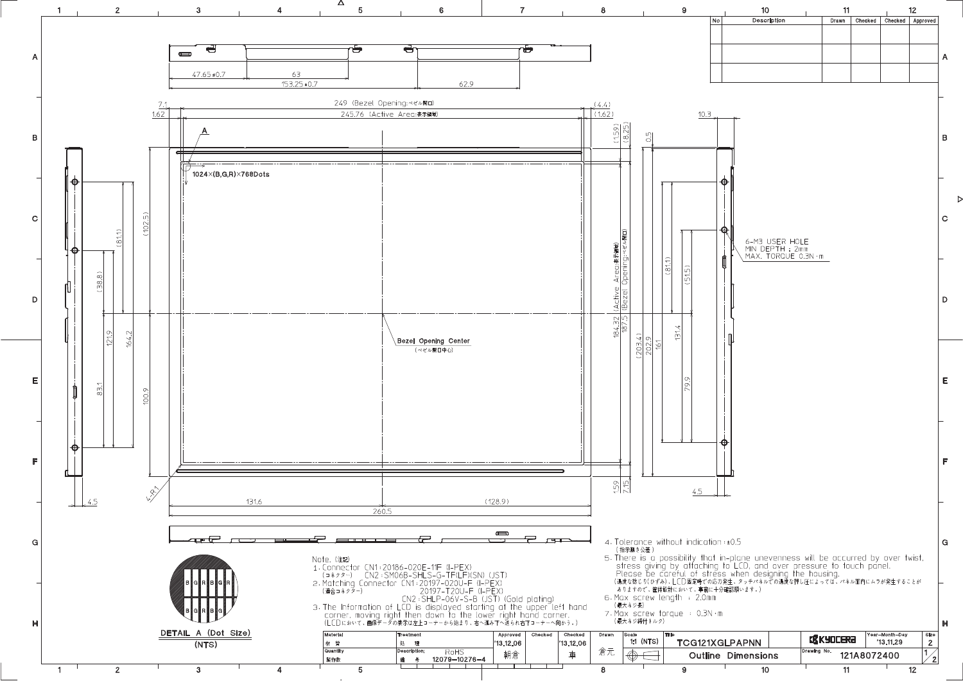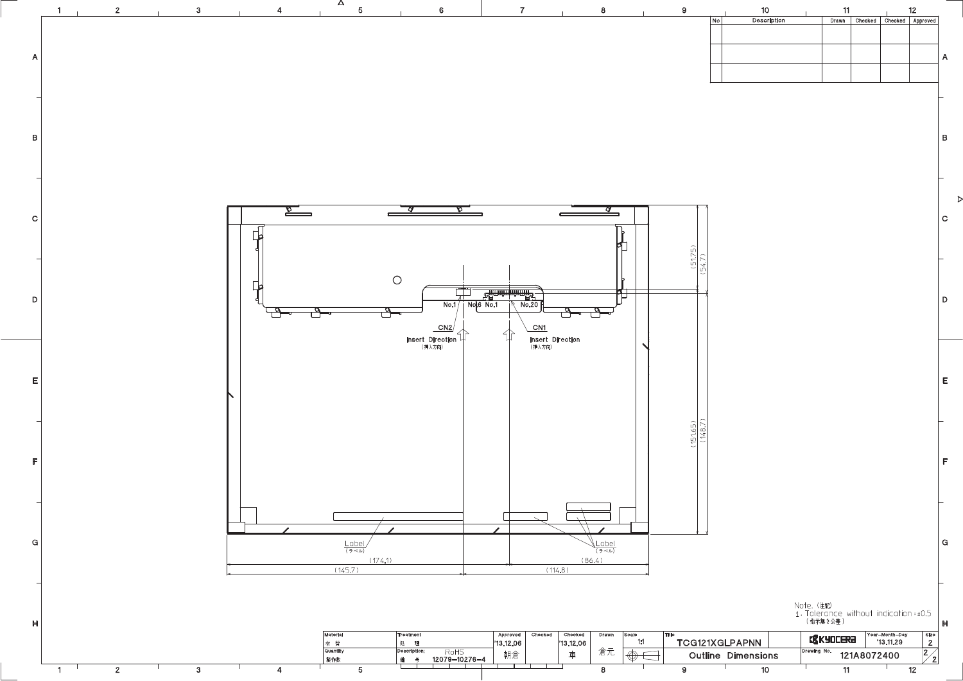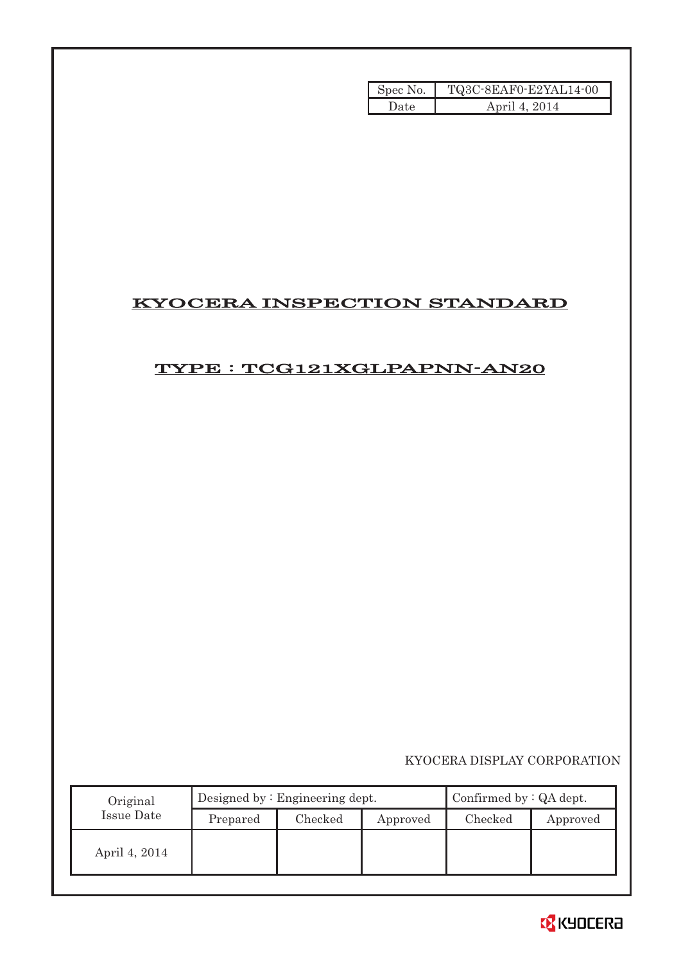| Spec No. | TQ3C-8EAF0-E2YAL14-00 |
|----------|-----------------------|
| Date     | April 4, 2014         |

# KYOCERA INSPECTION STANDARD

# TYPE : TCG121XGLPAPNN-AN20

|                   |                                    |                                 | Spec No. | TQ3C-8EAF0-E2YAL14-00       |          |
|-------------------|------------------------------------|---------------------------------|----------|-----------------------------|----------|
|                   |                                    |                                 | Date     | April 4, 2014               |          |
|                   |                                    |                                 |          |                             |          |
|                   |                                    |                                 |          |                             |          |
|                   |                                    |                                 |          |                             |          |
|                   |                                    |                                 |          |                             |          |
|                   |                                    |                                 |          |                             |          |
|                   |                                    |                                 |          |                             |          |
|                   |                                    |                                 |          |                             |          |
|                   | <b>KYOCERA INSPECTION STANDARD</b> |                                 |          |                             |          |
|                   |                                    |                                 |          |                             |          |
|                   |                                    |                                 |          |                             |          |
|                   | TYPE: TCG121XGLPAPNN-AN20          |                                 |          |                             |          |
|                   |                                    |                                 |          |                             |          |
|                   |                                    |                                 |          |                             |          |
|                   |                                    |                                 |          |                             |          |
|                   |                                    |                                 |          |                             |          |
|                   |                                    |                                 |          |                             |          |
|                   |                                    |                                 |          |                             |          |
|                   |                                    |                                 |          |                             |          |
|                   |                                    |                                 |          |                             |          |
|                   |                                    |                                 |          |                             |          |
|                   |                                    |                                 |          |                             |          |
|                   |                                    |                                 |          |                             |          |
|                   |                                    |                                 |          |                             |          |
|                   |                                    |                                 |          |                             |          |
|                   |                                    |                                 |          |                             |          |
|                   |                                    |                                 |          |                             |          |
|                   |                                    |                                 |          |                             |          |
|                   |                                    |                                 |          | KYOCERA DISPLAY CORPORATION |          |
|                   |                                    |                                 |          |                             |          |
|                   |                                    |                                 |          |                             |          |
| Original          |                                    | Designed by : Engineering dept. |          | Confirmed by : QA dept.     |          |
| <b>Issue Date</b> | Prepared                           | Checked                         | Approved | Checked                     |          |
|                   |                                    |                                 |          |                             |          |
| April 4, 2014     |                                    |                                 |          |                             | Approved |

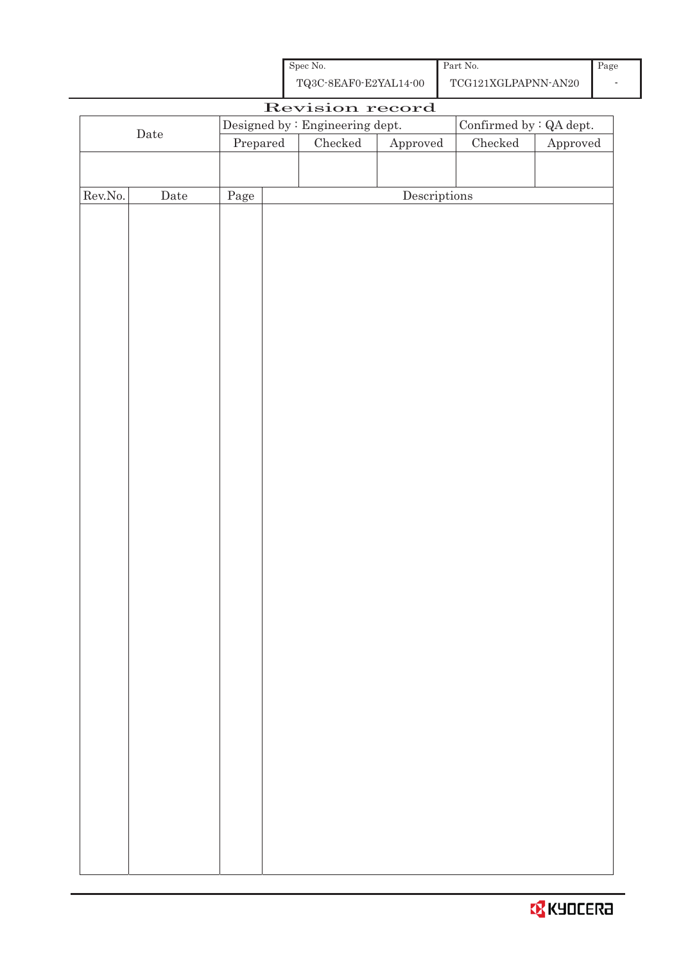| Spec No.<br>TQ3C-8EAF0-E2YAL14-00 | Part No.<br>TCG121XGLPAPNN-AN20 | Page |
|-----------------------------------|---------------------------------|------|
| Revision record                   |                                 |      |

| $\rm{Date}$      |      |          | Designed by : Engineering dept. |                                      | Confirmed by $\colon$ QA dept. |                        |  |
|------------------|------|----------|---------------------------------|--------------------------------------|--------------------------------|------------------------|--|
|                  |      | Prepared | $C$ hecked                      | Approved                             | ${\it Checked}$                | ${\Large\bf Approved}$ |  |
|                  |      |          |                                 |                                      |                                |                        |  |
|                  |      |          |                                 |                                      |                                |                        |  |
| ${\rm Rev. No.}$ | Date | Page     |                                 | $\label{eq:2} \textbf{Descriptions}$ |                                |                        |  |
|                  |      |          |                                 |                                      |                                |                        |  |
|                  |      |          |                                 |                                      |                                |                        |  |
|                  |      |          |                                 |                                      |                                |                        |  |
|                  |      |          |                                 |                                      |                                |                        |  |
|                  |      |          |                                 |                                      |                                |                        |  |
|                  |      |          |                                 |                                      |                                |                        |  |
|                  |      |          |                                 |                                      |                                |                        |  |
|                  |      |          |                                 |                                      |                                |                        |  |
|                  |      |          |                                 |                                      |                                |                        |  |
|                  |      |          |                                 |                                      |                                |                        |  |
|                  |      |          |                                 |                                      |                                |                        |  |
|                  |      |          |                                 |                                      |                                |                        |  |
|                  |      |          |                                 |                                      |                                |                        |  |
|                  |      |          |                                 |                                      |                                |                        |  |
|                  |      |          |                                 |                                      |                                |                        |  |
|                  |      |          |                                 |                                      |                                |                        |  |
|                  |      |          |                                 |                                      |                                |                        |  |
|                  |      |          |                                 |                                      |                                |                        |  |
|                  |      |          |                                 |                                      |                                |                        |  |
|                  |      |          |                                 |                                      |                                |                        |  |
|                  |      |          |                                 |                                      |                                |                        |  |
|                  |      |          |                                 |                                      |                                |                        |  |
|                  |      |          |                                 |                                      |                                |                        |  |
|                  |      |          |                                 |                                      |                                |                        |  |
|                  |      |          |                                 |                                      |                                |                        |  |
|                  |      |          |                                 |                                      |                                |                        |  |
|                  |      |          |                                 |                                      |                                |                        |  |
|                  |      |          |                                 |                                      |                                |                        |  |
|                  |      |          |                                 |                                      |                                |                        |  |
|                  |      |          |                                 |                                      |                                |                        |  |
|                  |      |          |                                 |                                      |                                |                        |  |
|                  |      |          |                                 |                                      |                                |                        |  |
|                  |      |          |                                 |                                      |                                |                        |  |
|                  |      |          |                                 |                                      |                                |                        |  |
|                  |      |          |                                 |                                      |                                |                        |  |

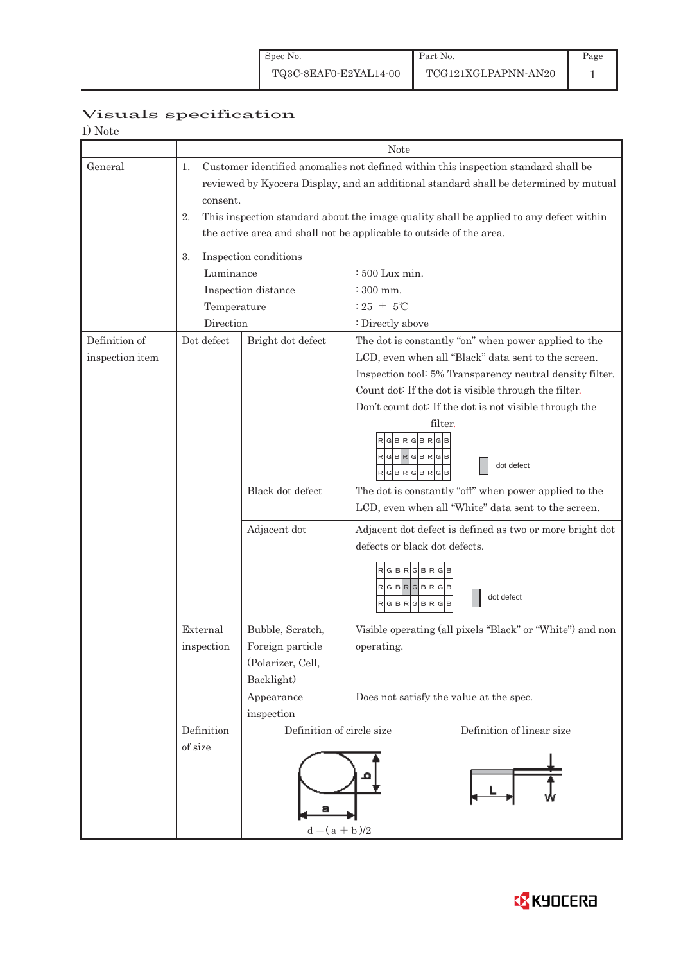# Visuals specification

| 1) Note                          |                                                                                                                                                                                                                                                                                               |                                                                           |                                                                                                                                                                                                                                                                                                                                                                                                                                                                                                                                                                                                                                                                           |  |  |  |  |
|----------------------------------|-----------------------------------------------------------------------------------------------------------------------------------------------------------------------------------------------------------------------------------------------------------------------------------------------|---------------------------------------------------------------------------|---------------------------------------------------------------------------------------------------------------------------------------------------------------------------------------------------------------------------------------------------------------------------------------------------------------------------------------------------------------------------------------------------------------------------------------------------------------------------------------------------------------------------------------------------------------------------------------------------------------------------------------------------------------------------|--|--|--|--|
|                                  |                                                                                                                                                                                                                                                                                               |                                                                           | Note                                                                                                                                                                                                                                                                                                                                                                                                                                                                                                                                                                                                                                                                      |  |  |  |  |
| General                          | Customer identified anomalies not defined within this inspection standard shall be<br>1.<br>reviewed by Kyocera Display, and an additional standard shall be determined by mutual<br>consent.<br>This inspection standard about the image quality shall be applied to any defect within<br>2. |                                                                           |                                                                                                                                                                                                                                                                                                                                                                                                                                                                                                                                                                                                                                                                           |  |  |  |  |
|                                  | the active area and shall not be applicable to outside of the area.                                                                                                                                                                                                                           |                                                                           |                                                                                                                                                                                                                                                                                                                                                                                                                                                                                                                                                                                                                                                                           |  |  |  |  |
|                                  | 3.<br>Luminance                                                                                                                                                                                                                                                                               | Inspection conditions                                                     | $:500$ Lux min.                                                                                                                                                                                                                                                                                                                                                                                                                                                                                                                                                                                                                                                           |  |  |  |  |
|                                  | Temperature                                                                                                                                                                                                                                                                                   | Inspection distance                                                       | : 300 mm.<br>$:25 \pm 5^{\circ}$ C                                                                                                                                                                                                                                                                                                                                                                                                                                                                                                                                                                                                                                        |  |  |  |  |
|                                  | Direction                                                                                                                                                                                                                                                                                     |                                                                           | : Directly above                                                                                                                                                                                                                                                                                                                                                                                                                                                                                                                                                                                                                                                          |  |  |  |  |
| Definition of<br>inspection item | Dot defect                                                                                                                                                                                                                                                                                    | Bright dot defect<br>Black dot defect<br>Adjacent dot                     | The dot is constantly "on" when power applied to the<br>LCD, even when all "Black" data sent to the screen.<br>Inspection tool: 5% Transparency neutral density filter.<br>Count dot: If the dot is visible through the filter.<br>Don't count dot: If the dot is not visible through the<br>filter.<br><b>RGB</b><br>R<br>в<br>GBRGBR<br>GIB<br>dot defect<br>B<br>R<br>G B<br>R<br>The dot is constantly "off" when power applied to the<br>LCD, even when all "White" data sent to the screen.<br>Adjacent dot defect is defined as two or more bright dot<br>defects or black dot defects.<br>BRGBR<br>R[G B R[G B R[G B]<br>dot defect<br>G<br>B<br>B<br>R<br>R<br>G |  |  |  |  |
|                                  | External<br>Bubble, Scratch,<br>inspection<br>Foreign particle<br>(Polarizer, Cell,<br>Backlight)<br>Appearance                                                                                                                                                                               |                                                                           | Visible operating (all pixels "Black" or "White") and non<br>operating.<br>Does not satisfy the value at the spec.                                                                                                                                                                                                                                                                                                                                                                                                                                                                                                                                                        |  |  |  |  |
|                                  |                                                                                                                                                                                                                                                                                               | inspection                                                                |                                                                                                                                                                                                                                                                                                                                                                                                                                                                                                                                                                                                                                                                           |  |  |  |  |
|                                  | Definition<br>of size                                                                                                                                                                                                                                                                         | Definition of circle size<br>Definition of linear size<br>$d = (a + b)/2$ |                                                                                                                                                                                                                                                                                                                                                                                                                                                                                                                                                                                                                                                                           |  |  |  |  |